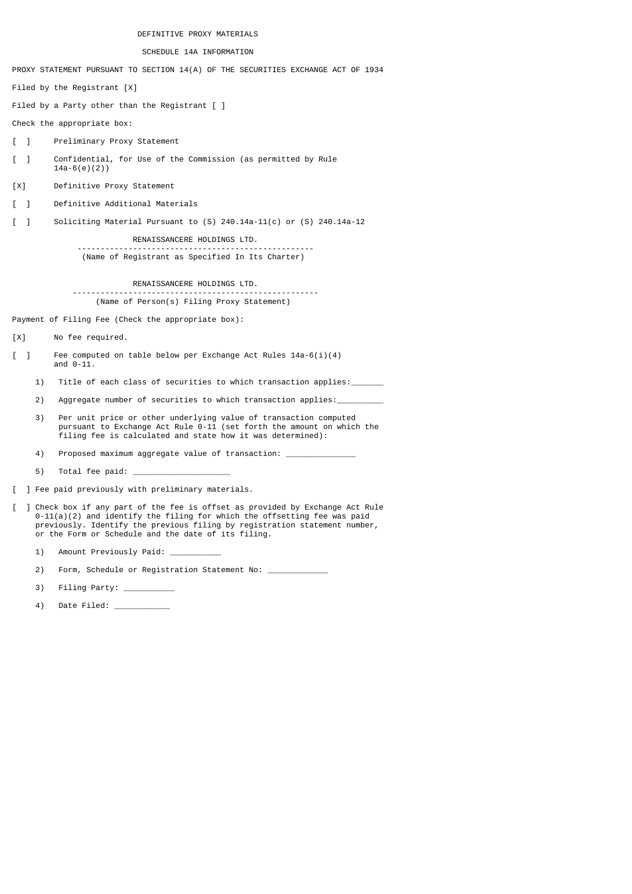DEFINITIVE PROXY MATERIALS

SCHEDULE 14A INFORMATION

PROXY STATEMENT PURSUANT TO SECTION 14(A) OF THE SECURITIES EXCHANGE ACT OF 1934

Filed by the Registrant [X]

Filed by a Party other than the Registrant [ ]

Check the appropriate box:

- [ ] Preliminary Proxy Statement
- [ ] Confidential, for Use of the Commission (as permitted by Rule 14a-6(e)(2))
- [X] Definitive Proxy Statement
- [ ] Definitive Additional Materials

[ ] Soliciting Material Pursuant to (S) 240.14a-11(c) or (S) 240.14a-12

 RENAISSANCERE HOLDINGS LTD. --------------------------------------------------- (Name of Registrant as Specified In Its Charter)

 RENAISSANCERE HOLDINGS LTD. ----------------------------------------------------- (Name of Person(s) Filing Proxy Statement)

Payment of Filing Fee (Check the appropriate box):

- [X] No fee required.
- [ ] Fee computed on table below per Exchange Act Rules 14a-6(i)(4) and  $0-11$ .
	- 1) Title of each class of securities to which transaction applies:
	- 2) Aggregate number of securities to which transaction applies:
- 3) Per unit price or other underlying value of transaction computed pursuant to Exchange Act Rule 0-11 (set forth the amount on which the filing fee is calculated and state how it was determined):
	- 4) Proposed maximum aggregate value of transaction:
	- 5) Total fee paid:
- [ ] Fee paid previously with preliminary materials.
- [ ] Check box if any part of the fee is offset as provided by Exchange Act Rule 0-11(a)(2) and identify the filing for which the offsetting fee was paid previously. Identify the previous filing by registration statement number, or the Form or Schedule and the date of its filing.
	- 1) Amount Previously Paid:
	- 2) Form, Schedule or Registration Statement No:
	- 3) Filing Party: \_\_\_\_\_\_\_\_\_\_\_
	- 4) Date Filed: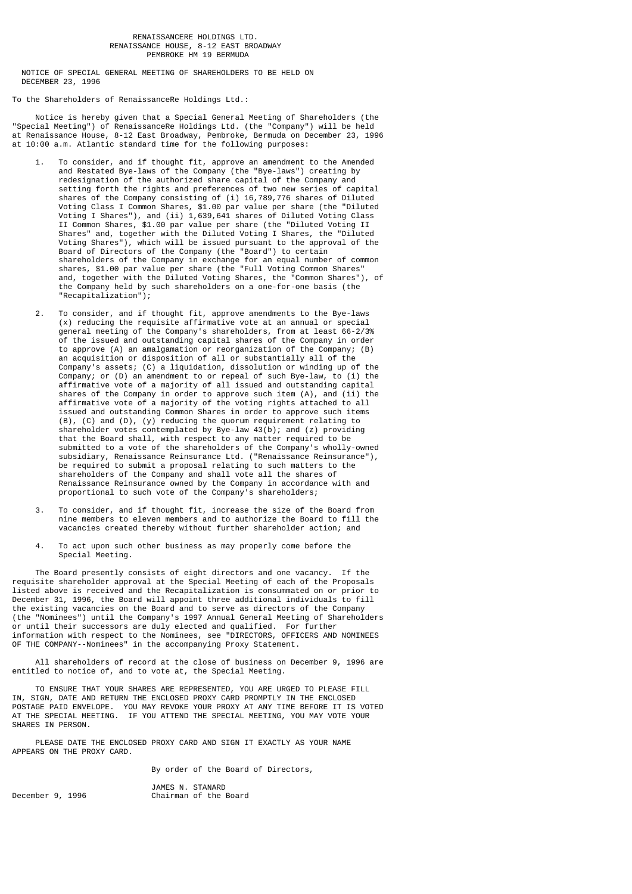### RENAISSANCERE HOLDINGS LTD. RENAISSANCE HOUSE, 8-12 EAST BROADWAY PEMBROKE HM 19 BERMUDA

 NOTICE OF SPECIAL GENERAL MEETING OF SHAREHOLDERS TO BE HELD ON DECEMBER 23, 1996

To the Shareholders of RenaissanceRe Holdings Ltd.:

 Notice is hereby given that a Special General Meeting of Shareholders (the "Special Meeting") of RenaissanceRe Holdings Ltd. (the "Company") will be held at Renaissance House, 8-12 East Broadway, Pembroke, Bermuda on December 23, 1996 at 10:00 a.m. Atlantic standard time for the following purposes:

- 1. To consider, and if thought fit, approve an amendment to the Amended and Restated Bye-laws of the Company (the "Bye-laws") creating by redesignation of the authorized share capital of the Company and setting forth the rights and preferences of two new series of capital shares of the Company consisting of (i) 16,789,776 shares of Diluted Voting Class I Common Shares, \$1.00 par value per share (the "Diluted Voting I Shares"), and (ii) 1,639,641 shares of Diluted Voting Class II Common Shares, \$1.00 par value per share (the "Diluted Voting II Shares" and, together with the Diluted Voting I Shares, the "Diluted Voting Shares"), which will be issued pursuant to the approval of the Board of Directors of the Company (the "Board") to certain shareholders of the Company in exchange for an equal number of common shares, \$1.00 par value per share (the "Full Voting Common Shares" and, together with the Diluted Voting Shares, the "Common Shares"), of the Company held by such shareholders on a one-for-one basis (the "Recapitalization");
- 2. To consider, and if thought fit, approve amendments to the Bye-laws (x) reducing the requisite affirmative vote at an annual or special general meeting of the Company's shareholders, from at least 66-2/3% of the issued and outstanding capital shares of the Company in order to approve (A) an amalgamation or reorganization of the Company; (B) an acquisition or disposition of all or substantially all of the Company's assets; (C) a liquidation, dissolution or winding up of the Company; or (D) an amendment to or repeal of such Bye-law, to (i) the affirmative vote of a majority of all issued and outstanding capital shares of the Company in order to approve such item (A), and (ii) the affirmative vote of a majority of the voting rights attached to all issued and outstanding Common Shares in order to approve such items (B), (C) and (D), (y) reducing the quorum requirement relating to shareholder votes contemplated by Bye-law 43(b); and (z) providing that the Board shall, with respect to any matter required to be submitted to a vote of the shareholders of the Company's wholly-owned subsidiary, Renaissance Reinsurance Ltd. ("Renaissance Reinsurance"), be required to submit a proposal relating to such matters to the shareholders of the Company and shall vote all the shares of Renaissance Reinsurance owned by the Company in accordance with and proportional to such vote of the Company's shareholders;
	- 3. To consider, and if thought fit, increase the size of the Board from nine members to eleven members and to authorize the Board to fill the vacancies created thereby without further shareholder action; and
	- 4. To act upon such other business as may properly come before the Special Meeting.

 The Board presently consists of eight directors and one vacancy. If the requisite shareholder approval at the Special Meeting of each of the Proposals listed above is received and the Recapitalization is consummated on or prior to December 31, 1996, the Board will appoint three additional individuals to fill the existing vacancies on the Board and to serve as directors of the Company (the "Nominees") until the Company's 1997 Annual General Meeting of Shareholders or until their successors are duly elected and qualified. For further information with respect to the Nominees, see "DIRECTORS, OFFICERS AND NOMINEES OF THE COMPANY--Nominees" in the accompanying Proxy Statement.

 All shareholders of record at the close of business on December 9, 1996 are entitled to notice of, and to vote at, the Special Meeting.

 TO ENSURE THAT YOUR SHARES ARE REPRESENTED, YOU ARE URGED TO PLEASE FILL IN, SIGN, DATE AND RETURN THE ENCLOSED PROXY CARD PROMPTLY IN THE ENCLOSED POSTAGE PAID ENVELOPE. YOU MAY REVOKE YOUR PROXY AT ANY TIME BEFORE IT IS VOTED AT THE SPECIAL MEETING. IF YOU ATTEND THE SPECIAL MEETING, YOU MAY VOTE YOUR SHARES IN PERSON.

 PLEASE DATE THE ENCLOSED PROXY CARD AND SIGN IT EXACTLY AS YOUR NAME APPEARS ON THE PROXY CARD.

By order of the Board of Directors,

JAMES N. STANARD<br>Chairman of the Chairman of the Board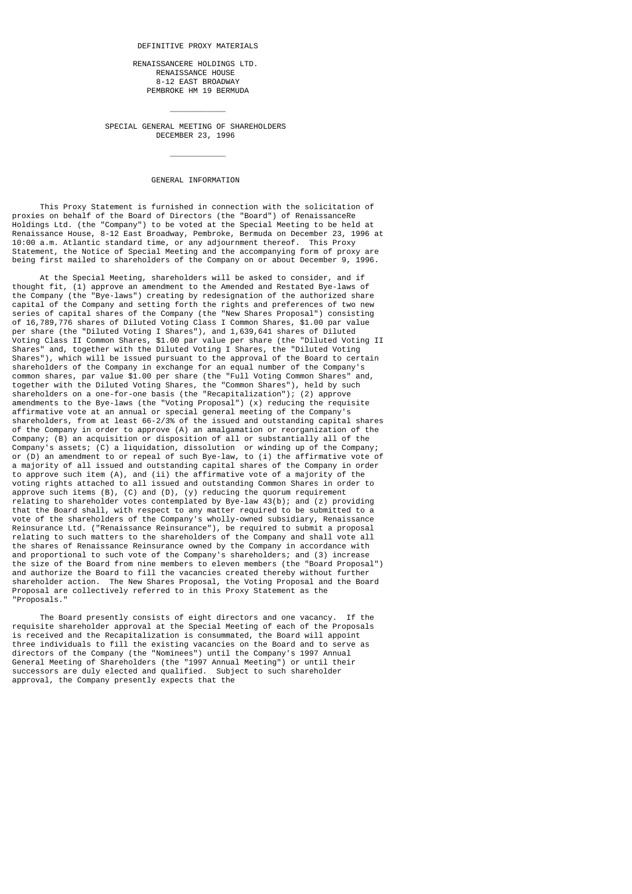#### DEFINITIVE PROXY MATERIALS

 RENAISSANCERE HOLDINGS LTD. RENAISSANCE HOUSE 8-12 EAST BROADWAY PEMBROKE HM 19 BERMUDA

 SPECIAL GENERAL MEETING OF SHAREHOLDERS DECEMBER 23, 1996

\_\_\_\_\_\_\_\_\_\_\_\_

\_\_\_\_\_\_\_\_\_\_\_\_

# GENERAL INFORMATION

 This Proxy Statement is furnished in connection with the solicitation of proxies on behalf of the Board of Directors (the "Board") of RenaissanceRe Holdings Ltd. (the "Company") to be voted at the Special Meeting to be held at Renaissance House, 8-12 East Broadway, Pembroke, Bermuda on December 23, 1996 at 10:00 a.m. Atlantic standard time, or any adjournment thereof. This Proxy Statement, the Notice of Special Meeting and the accompanying form of proxy are being first mailed to shareholders of the Company on or about December 9, 1996.

 At the Special Meeting, shareholders will be asked to consider, and if thought fit, (1) approve an amendment to the Amended and Restated Bye-laws of the Company (the "Bye-laws") creating by redesignation of the authorized share capital of the Company and setting forth the rights and preferences of two new series of capital shares of the Company (the "New Shares Proposal") consisting of 16,789,776 shares of Diluted Voting Class I Common Shares, \$1.00 par value per share (the "Diluted Voting I Shares"), and 1,639,641 shares of Diluted Voting Class II Common Shares, \$1.00 par value per share (the "Diluted Voting II Shares" and, together with the Diluted Voting I Shares, the "Diluted Voting Shares"), which will be issued pursuant to the approval of the Board to certain shareholders of the Company in exchange for an equal number of the Company's common shares, par value \$1.00 per share (the "Full Voting Common Shares" and, together with the Diluted Voting Shares, the "Common Shares"), held by such shareholders on a one-for-one basis (the "Recapitalization"); (2) approve amendments to the Bye-laws (the "Voting Proposal") (x) reducing the requisite affirmative vote at an annual or special general meeting of the Company's shareholders, from at least 66-2/3% of the issued and outstanding capital shares of the Company in order to approve (A) an amalgamation or reorganization of the Company; (B) an acquisition or disposition of all or substantially all of the Company's assets; (C) a liquidation, dissolution or winding up of the Company; or (D) an amendment to or repeal of such Bye-law, to (i) the affirmative vote of a majority of all issued and outstanding capital shares of the Company in order to approve such item (A), and (ii) the affirmative vote of a majority of the voting rights attached to all issued and outstanding Common Shares in order to approve such items (B), (C) and (D), (y) reducing the quorum requirement relating to shareholder votes contemplated by Bye-law 43(b); and (z) providing that the Board shall, with respect to any matter required to be submitted to a vote of the shareholders of the Company's wholly-owned subsidiary, Renaissance Reinsurance Ltd. ("Renaissance Reinsurance"), be required to submit a proposal relating to such matters to the shareholders of the Company and shall vote all the shares of Renaissance Reinsurance owned by the Company in accordance with and proportional to such vote of the Company's shareholders; and (3) increase the size of the Board from nine members to eleven members (the "Board Proposal") and authorize the Board to fill the vacancies created thereby without further shareholder action. The New Shares Proposal, the Voting Proposal and the Board Proposal are collectively referred to in this Proxy Statement as the "Proposals."

 The Board presently consists of eight directors and one vacancy. If the requisite shareholder approval at the Special Meeting of each of the Proposals is received and the Recapitalization is consummated, the Board will appoint three individuals to fill the existing vacancies on the Board and to serve as directors of the Company (the "Nominees") until the Company's 1997 Annual General Meeting of Shareholders (the "1997 Annual Meeting") or until their successors are duly elected and qualified. Subject to such shareholder approval, the Company presently expects that the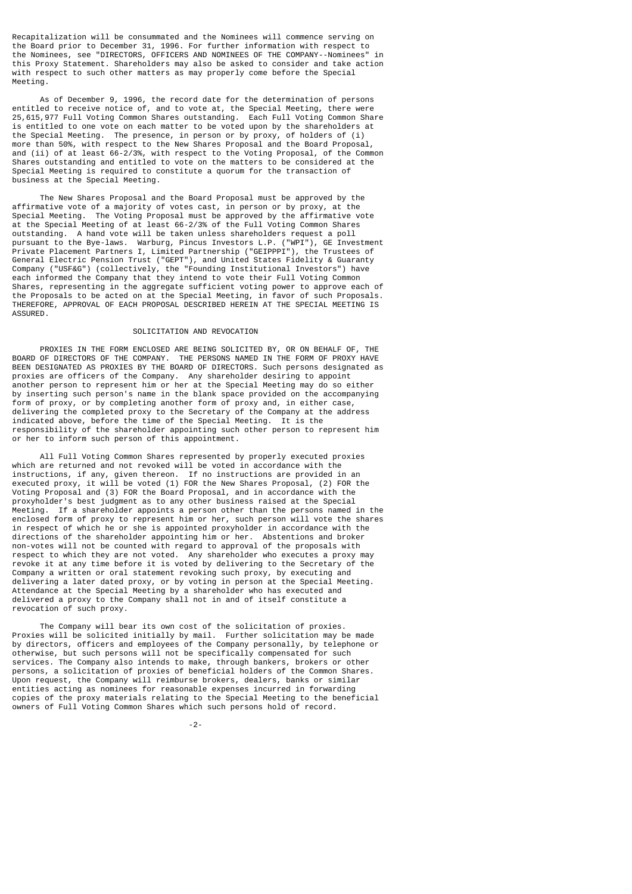Recapitalization will be consummated and the Nominees will commence serving on the Board prior to December 31, 1996. For further information with respect to<br>the Nominees see "DIRECIORS, OFFICERS AND NOMINEES OF THE COMPANY--Nominees" in the Nominees, see "DIRECTORS, OFFICERS AND NOMINEES OF THE COMPANY--Nominees" this Proxy Statement. Shareholders may also be asked to consider and take action with respect to such other matters as may properly come before the Special Meeting.

 As of December 9, 1996, the record date for the determination of persons entitled to receive notice of, and to vote at, the Special Meeting, there were 25,615,977 Full Voting Common Shares outstanding. Each Full Voting Common Share is entitled to one vote on each matter to be voted upon by the shareholders at the Special Meeting. The presence, in person or by proxy, of holders of (i) more than 50%, with respect to the New Shares Proposal and the Board Proposal, and (ii) of at least 66-2/3%, with respect to the Voting Proposal, of the Common Shares outstanding and entitled to vote on the matters to be considered at the Special Meeting is required to constitute a quorum for the transaction of business at the Special Meeting.

 The New Shares Proposal and the Board Proposal must be approved by the affirmative vote of a majority of votes cast, in person or by proxy, at the Special Meeting. The Voting Proposal must be approved by the affirmative vote at the Special Meeting of at least 66-2/3% of the Full Voting Common Shares outstanding. A hand vote will be taken unless shareholders request a poll pursuant to the Bye-laws. Warburg, Pincus Investors L.P. ("WPI"), GE Investment Private Placement Partners I, Limited Partnership ("GEIPPPI"), the Trustees of General Electric Pension Trust ("GEPT"), and United States Fidelity & Guaranty Company ("USF&G") (collectively, the "Founding Institutional Investors") have each informed the Company that they intend to vote their Full Voting Common Shares, representing in the aggregate sufficient voting power to approve each of the Proposals to be acted on at the Special Meeting, in favor of such Proposals. THEREFORE, APPROVAL OF EACH PROPOSAL DESCRIBED HEREIN AT THE SPECIAL MEETING IS ASSURED.

## SOLICITATION AND REVOCATION

 PROXIES IN THE FORM ENCLOSED ARE BEING SOLICITED BY, OR ON BEHALF OF, THE BOARD OF DIRECTORS OF THE COMPANY. THE PERSONS NAMED IN THE FORM OF PROXY HAVE BEEN DESIGNATED AS PROXIES BY THE BOARD OF DIRECTORS. Such persons designated as proxies are officers of the Company. Any shareholder desiring to appoint another person to represent him or her at the Special Meeting may do so either by inserting such person's name in the blank space provided on the accompanying form of proxy, or by completing another form of proxy and, in either case, delivering the completed proxy to the Secretary of the Company at the address indicated above, before the time of the Special Meeting. It is the responsibility of the shareholder appointing such other person to represent him or her to inform such person of this appointment.

 All Full Voting Common Shares represented by properly executed proxies which are returned and not revoked will be voted in accordance with the instructions, if any, given thereon. If no instructions are provided in an executed proxy, it will be voted (1) FOR the New Shares Proposal, (2) FOR the Voting Proposal and (3) FOR the Board Proposal, and in accordance with the proxyholder's best judgment as to any other business raised at the Special Meeting. If a shareholder appoints a person other than the persons named If a shareholder appoints a person other than the persons named in the enclosed form of proxy to represent him or her, such person will vote the shares in respect of which he or she is appointed proxyholder in accordance with the directions of the shareholder appointing him or her. Abstentions and broker non-votes will not be counted with regard to approval of the proposals with respect to which they are not voted. Any shareholder who executes a proxy may revoke it at any time before it is voted by delivering to the Secretary of the Company a written or oral statement revoking such proxy, by executing and delivering a later dated proxy, or by voting in person at the Special Meeting. Attendance at the Special Meeting by a shareholder who has executed and delivered a proxy to the Company shall not in and of itself constitute a revocation of such proxy.

 The Company will bear its own cost of the solicitation of proxies. Proxies will be solicited initially by mail. Further solicitation may be made by directors, officers and employees of the Company personally, by telephone or otherwise, but such persons will not be specifically compensated for such services. The Company also intends to make, through bankers, brokers or other persons, a solicitation of proxies of beneficial holders of the Common Shares. Upon request, the Company will reimburse brokers, dealers, banks or similar entities acting as nominees for reasonable expenses incurred in forwarding copies of the proxy materials relating to the Special Meeting to the beneficial owners of Full Voting Common Shares which such persons hold of record.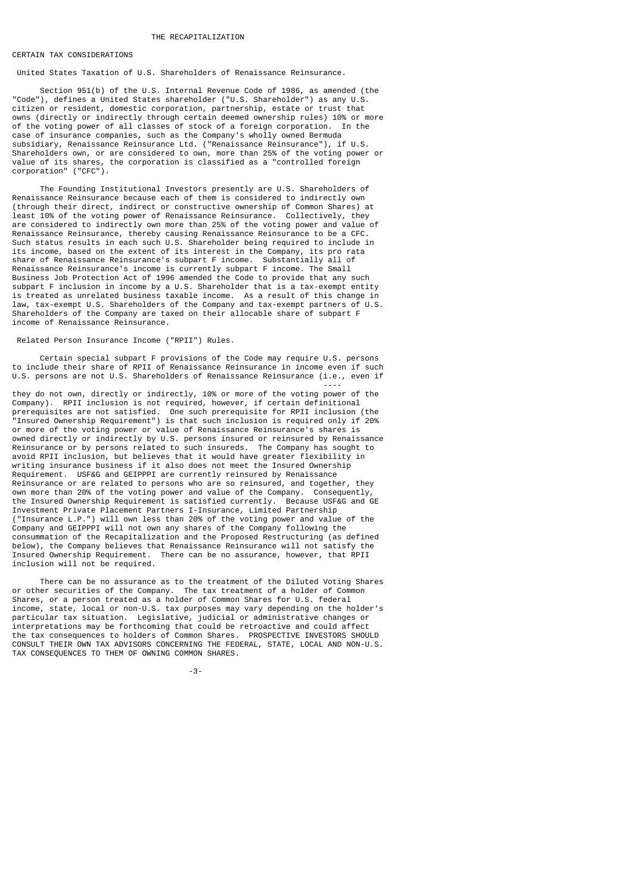#### THE RECAPITALIZATION

### CERTAIN TAX CONSIDERATIONS

United States Taxation of U.S. Shareholders of Renaissance Reinsurance.

 Section 951(b) of the U.S. Internal Revenue Code of 1986, as amended (the "Code"), defines a United States shareholder ("U.S. Shareholder") as any U.S. citizen or resident, domestic corporation, partnership, estate or trust that owns (directly or indirectly through certain deemed ownership rules) 10% or more of the voting power of all classes of stock of a foreign corporation. In the case of insurance companies, such as the Company's wholly owned Bermuda subsidiary, Renaissance Reinsurance Ltd. ("Renaissance Reinsurance"), if U.S. Shareholders own, or are considered to own, more than 25% of the voting power or value of its shares, the corporation is classified as a "controlled foreign corporation" ("CFC").

 The Founding Institutional Investors presently are U.S. Shareholders of Renaissance Reinsurance because each of them is considered to indirectly own (through their direct, indirect or constructive ownership of Common Shares) at least 10% of the voting power of Renaissance Reinsurance. Collectively, they are considered to indirectly own more than 25% of the voting power and value of Renaissance Reinsurance, thereby causing Renaissance Reinsurance to be a CFC. Such status results in each such U.S. Shareholder being required to include in its income, based on the extent of its interest in the Company, its pro rata share of Renaissance Reinsurance's subpart F income. Substantially all of Renaissance Reinsurance's income is currently subpart F income. The Small Business Job Protection Act of 1996 amended the Code to provide that any such subpart F inclusion in income by a U.S. Shareholder that is a tax-exempt entity is treated as unrelated business taxable income. As a result of this change in law, tax-exempt U.S. Shareholders of the Company and tax-exempt partners of U.S. Shareholders of the Company are taxed on their allocable share of subpart F income of Renaissance Reinsurance.

## Related Person Insurance Income ("RPII") Rules.

 Certain special subpart F provisions of the Code may require U.S. persons to include their share of RPII of Renaissance Reinsurance in income even if such U.S. persons are not U.S. Shareholders of Renaissance Reinsurance (i.e., even if

 --- they do not own, directly or indirectly, 10% or more of the voting power of the Company). RPII inclusion is not required, however, if certain definitional prerequisites are not satisfied. One such prerequisite for RPII inclusion (the "Insured Ownership Requirement") is that such inclusion is required only if 20% or more of the voting power or value of Renaissance Reinsurance's shares is owned directly or indirectly by U.S. persons insured or reinsured by Renaissance Reinsurance or by persons related to such insureds. The Company has sought to avoid RPII inclusion, but believes that it would have greater flexibility in writing insurance business if it also does not meet the Insured Ownership Requirement. USF&G and GEIPPPI are currently reinsured by Renaissance Reinsurance or are related to persons who are so reinsured, and together, they own more than 20% of the voting power and value of the Company. Consequently, the Insured Ownership Requirement is satisfied currently. Because USF&G and GE Investment Private Placement Partners I-Insurance, Limited Partnership ("Insurance L.P.") will own less than 20% of the voting power and value of the Company and GEIPPPI will not own any shares of the Company following the consummation of the Recapitalization and the Proposed Restructuring (as defined below), the Company believes that Renaissance Reinsurance will not satisfy the Insured Ownership Requirement. There can be no assurance, however, that RPII inclusion will not be required.

 There can be no assurance as to the treatment of the Diluted Voting Shares or other securities of the Company. The tax treatment of a holder of Common Shares, or a person treated as a holder of Common Shares for U.S. federal income, state, local or non-U.S. tax purposes may vary depending on the holder's particular tax situation. Legislative, judicial or administrative changes or interpretations may be forthcoming that could be retroactive and could affect the tax consequences to holders of Common Shares. PROSPECTIVE INVESTORS SHOULD CONSULT THEIR OWN TAX ADVISORS CONCERNING THE FEDERAL, STATE, LOCAL AND NON-U.S. TAX CONSEQUENCES TO THEM OF OWNING COMMON SHARES.

-3-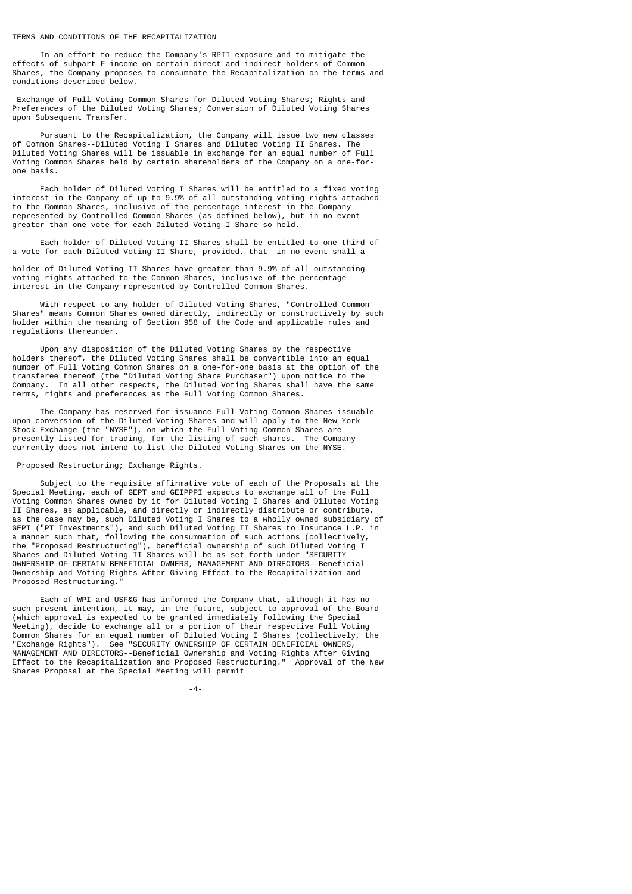TERMS AND CONDITIONS OF THE RECAPITALIZATION

--------

 In an effort to reduce the Company's RPII exposure and to mitigate the effects of subpart F income on certain direct and indirect holders of Common Shares, the Company proposes to consummate the Recapitalization on the terms and conditions described below.

 Exchange of Full Voting Common Shares for Diluted Voting Shares; Rights and Preferences of the Diluted Voting Shares; Conversion of Diluted Voting Shares upon Subsequent Transfer.

 Pursuant to the Recapitalization, the Company will issue two new classes of Common Shares--Diluted Voting I Shares and Diluted Voting II Shares. The Diluted Voting Shares will be issuable in exchange for an equal number of Full Voting Common Shares held by certain shareholders of the Company on a one-forone basis.

 Each holder of Diluted Voting I Shares will be entitled to a fixed voting interest in the Company of up to 9.9% of all outstanding voting rights attached to the Common Shares, inclusive of the percentage interest in the Company represented by Controlled Common Shares (as defined below), but in no event greater than one vote for each Diluted Voting I Share so held.

 Each holder of Diluted Voting II Shares shall be entitled to one-third of a vote for each Diluted Voting II Share, provided, that in no event shall a

holder of Diluted Voting II Shares have greater than 9.9% of all outstanding voting rights attached to the Common Shares, inclusive of the percentage interest in the Company represented by Controlled Common Shares.

 With respect to any holder of Diluted Voting Shares, "Controlled Common Shares" means Common Shares owned directly, indirectly or constructively by such holder within the meaning of Section 958 of the Code and applicable rules and regulations thereunder.

 Upon any disposition of the Diluted Voting Shares by the respective holders thereof, the Diluted Voting Shares shall be convertible into an equal number of Full Voting Common Shares on a one-for-one basis at the option of the transferee thereof (the "Diluted Voting Share Purchaser") upon notice to the Company. In all other respects, the Diluted Voting Shares shall have the same terms, rights and preferences as the Full Voting Common Shares.

 The Company has reserved for issuance Full Voting Common Shares issuable upon conversion of the Diluted Voting Shares and will apply to the New York Stock Exchange (the "NYSE"), on which the Full Voting Common Shares are presently listed for trading, for the listing of such shares. The Company currently does not intend to list the Diluted Voting Shares on the NYSE.

Proposed Restructuring; Exchange Rights.

 Subject to the requisite affirmative vote of each of the Proposals at the Special Meeting, each of GEPT and GEIPPPI expects to exchange all of the Full Voting Common Shares owned by it for Diluted Voting I Shares and Diluted Voting II Shares, as applicable, and directly or indirectly distribute or contribute, as the case may be, such Diluted Voting I Shares to a wholly owned subsidiary of GEPT ("PT Investments"), and such Diluted Voting II Shares to Insurance L.P. in a manner such that, following the consummation of such actions (collectively, the "Proposed Restructuring"), beneficial ownership of such Diluted Voting I Shares and Diluted Voting II Shares will be as set forth under "SECURITY OWNERSHIP OF CERTAIN BENEFICIAL OWNERS, MANAGEMENT AND DIRECTORS--Beneficial Ownership and Voting Rights After Giving Effect to the Recapitalization and Proposed Restructuring."

 Each of WPI and USF&G has informed the Company that, although it has no such present intention, it may, in the future, subject to approval of the Board (which approval is expected to be granted immediately following the Special Meeting), decide to exchange all or a portion of their respective Full Voting Common Shares for an equal number of Diluted Voting I Shares (collectively, the "Exchange Rights"). See "SECURITY OWNERSHIP OF CERTAIN BENEFICIAL OWNERS, MANAGEMENT AND DIRECTORS--Beneficial Ownership and Voting Rights After Giving Effect to the Recapitalization and Proposed Restructuring." Approval of the New Shares Proposal at the Special Meeting will permit

-4-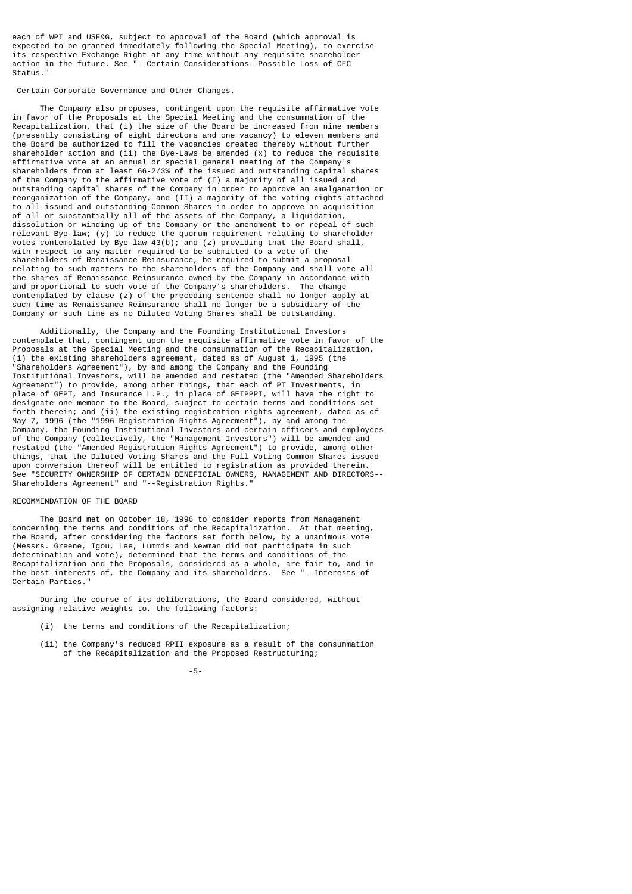each of WPI and USF&G, subject to approval of the Board (which approval is expected to be granted immediately following the Special Meeting), to exercise its respective Exchange Right at any time without any requisite shareholder action in the future. See "--Certain Considerations--Possible Loss of CFC Status."

## Certain Corporate Governance and Other Changes.

 The Company also proposes, contingent upon the requisite affirmative vote in favor of the Proposals at the Special Meeting and the consummation of the Recapitalization, that (i) the size of the Board be increased from nine members (presently consisting of eight directors and one vacancy) to eleven members and the Board be authorized to fill the vacancies created thereby without further shareholder action and (ii) the Bye-Laws be amended (x) to reduce the requisite affirmative vote at an annual or special general meeting of the Company's shareholders from at least 66-2/3% of the issued and outstanding capital shares of the Company to the affirmative vote of (I) a majority of all issued and outstanding capital shares of the Company in order to approve an amalgamation or reorganization of the Company, and (II) a majority of the voting rights attached to all issued and outstanding Common Shares in order to approve an acquisition of all or substantially all of the assets of the Company, a liquidation, dissolution or winding up of the Company or the amendment to or repeal of such relevant Bye-law; (y) to reduce the quorum requirement relating to shareholder votes contemplated by Bye-law 43(b); and (z) providing that the Board shall, with respect to any matter required to be submitted to a vote of the shareholders of Renaissance Reinsurance, be required to submit a proposal relating to such matters to the shareholders of the Company and shall vote all the shares of Renaissance Reinsurance owned by the Company in accordance with and proportional to such vote of the Company's shareholders. The change contemplated by clause (z) of the preceding sentence shall no longer apply at such time as Renaissance Reinsurance shall no longer be a subsidiary of the Company or such time as no Diluted Voting Shares shall be outstanding.

 Additionally, the Company and the Founding Institutional Investors contemplate that, contingent upon the requisite affirmative vote in favor of the Proposals at the Special Meeting and the consummation of the Recapitalization, (i) the existing shareholders agreement, dated as of August 1, 1995 (the "Shareholders Agreement"), by and among the Company and the Founding Institutional Investors, will be amended and restated (the "Amended Shareholders Agreement") to provide, among other things, that each of PT Investments, in place of GEPT, and Insurance L.P., in place of GEIPPPI, will have the right to designate one member to the Board, subject to certain terms and conditions set forth therein; and (ii) the existing registration rights agreement, dated as of May 7, 1996 (the "1996 Registration Rights Agreement"), by and among the Company, the Founding Institutional Investors and certain officers and employees of the Company (collectively, the "Management Investors") will be amended and restated (the "Amended Registration Rights Agreement") to provide, among other things, that the Diluted Voting Shares and the Full Voting Common Shares issued upon conversion thereof will be entitled to registration as provided therein. See "SECURITY OWNERSHIP OF CERTAIN BENEFICIAL OWNERS, MANAGEMENT AND DIRECTORS-- Shareholders Agreement" and "--Registration Rights."

## RECOMMENDATION OF THE BOARD

 The Board met on October 18, 1996 to consider reports from Management concerning the terms and conditions of the Recapitalization. At that meeting, the Board, after considering the factors set forth below, by a unanimous vote (Messrs. Greene, Igou, Lee, Lummis and Newman did not participate in such determination and vote), determined that the terms and conditions of the Recapitalization and the Proposals, considered as a whole, are fair to, and in the best interests of, the Company and its shareholders. See "--Interests of Certain Parties."

 During the course of its deliberations, the Board considered, without assigning relative weights to, the following factors:

- (i) the terms and conditions of the Recapitalization;
- (ii) the Company's reduced RPII exposure as a result of the consummation of the Recapitalization and the Proposed Restructuring;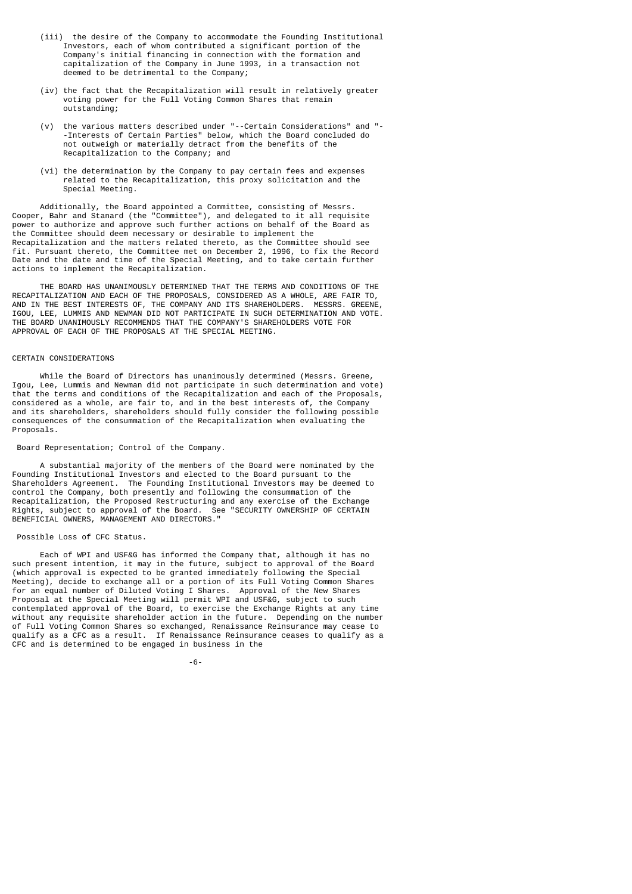- (iii) the desire of the Company to accommodate the Founding Institutional Investors, each of whom contributed a significant portion of the Company's initial financing in connection with the formation and capitalization of the Company in June 1993, in a transaction not deemed to be detrimental to the Company;
	- (iv) the fact that the Recapitalization will result in relatively greater voting power for the Full Voting Common Shares that remain outstanding;
	- (v) the various matters described under "--Certain Considerations" and "- -Interests of Certain Parties" below, which the Board concluded do not outweigh or materially detract from the benefits of the Recapitalization to the Company; and
	- (vi) the determination by the Company to pay certain fees and expenses related to the Recapitalization, this proxy solicitation and the Special Meeting.

 Additionally, the Board appointed a Committee, consisting of Messrs. Cooper, Bahr and Stanard (the "Committee"), and delegated to it all requisite power to authorize and approve such further actions on behalf of the Board as the Committee should deem necessary or desirable to implement the Recapitalization and the matters related thereto, as the Committee should see fit. Pursuant thereto, the Committee met on December 2, 1996, to fix the Record Date and the date and time of the Special Meeting, and to take certain further actions to implement the Recapitalization.

 THE BOARD HAS UNANIMOUSLY DETERMINED THAT THE TERMS AND CONDITIONS OF THE RECAPITALIZATION AND EACH OF THE PROPOSALS, CONSIDERED AS A WHOLE, ARE FAIR TO, AND IN THE BEST INTERESTS OF, THE COMPANY AND ITS SHAREHOLDERS. MESSRS. GREENE, IGOU, LEE, LUMMIS AND NEWMAN DID NOT PARTICIPATE IN SUCH DETERMINATION AND VOTE. THE BOARD UNANIMOUSLY RECOMMENDS THAT THE COMPANY'S SHAREHOLDERS VOTE FOR APPROVAL OF EACH OF THE PROPOSALS AT THE SPECIAL MEETING.

## CERTAIN CONSIDERATIONS

 While the Board of Directors has unanimously determined (Messrs. Greene, Igou, Lee, Lummis and Newman did not participate in such determination and vote) that the terms and conditions of the Recapitalization and each of the Proposals, considered as a whole, are fair to, and in the best interests of, the Company and its shareholders, shareholders should fully consider the following possible consequences of the consummation of the Recapitalization when evaluating the Proposals.

## Board Representation; Control of the Company.

 A substantial majority of the members of the Board were nominated by the Founding Institutional Investors and elected to the Board pursuant to the Shareholders Agreement. The Founding Institutional Investors may be deemed to control the Company, both presently and following the consummation of the Recapitalization, the Proposed Restructuring and any exercise of the Exchange Rights, subject to approval of the Board. See "SECURITY OWNERSHIP OF CERTAIN BENEFICIAL OWNERS, MANAGEMENT AND DIRECTORS."

## Possible Loss of CFC Status.

 Each of WPI and USF&G has informed the Company that, although it has no such present intention, it may in the future, subject to approval of the Board (which approval is expected to be granted immediately following the Special Meeting), decide to exchange all or a portion of its Full Voting Common Shares for an equal number of Diluted Voting I Shares. Approval of the New Shares Proposal at the Special Meeting will permit WPI and USF&G, subject to such contemplated approval of the Board, to exercise the Exchange Rights at any time without any requisite shareholder action in the future. Depending on the number of Full Voting Common Shares so exchanged, Renaissance Reinsurance may cease to qualify as a CFC as a result. If Renaissance Reinsurance ceases to qualify as a CFC and is determined to be engaged in business in the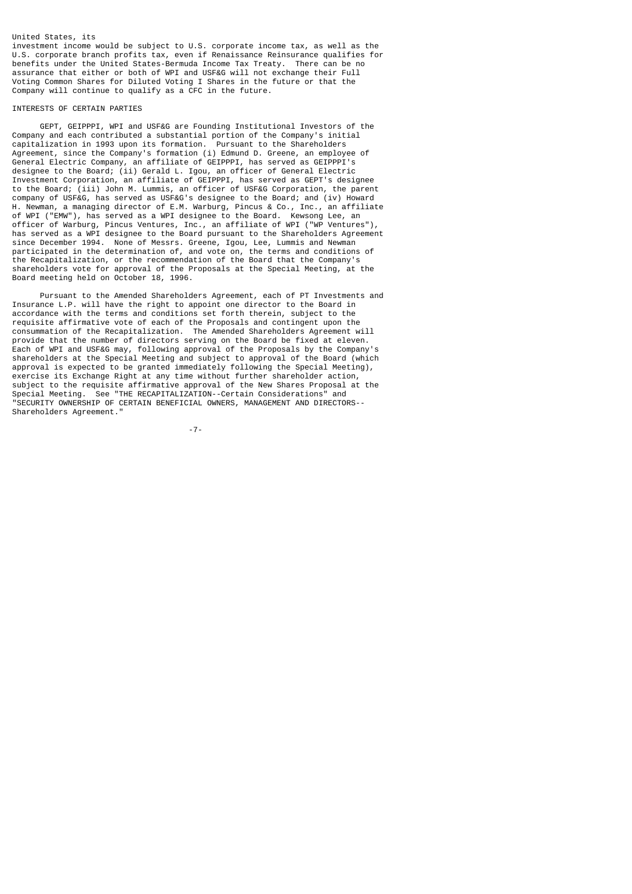## United States, its

investment income would be subject to U.S. corporate income tax, as well as the U.S. corporate branch profits tax, even if Renaissance Reinsurance qualifies for benefits under the United States-Bermuda Income Tax Treaty. There can be no assurance that either or both of WPI and USF&G will not exchange their Full Voting Common Shares for Diluted Voting I Shares in the future or that the Company will continue to qualify as a CFC in the future.

## INTERESTS OF CERTAIN PARTIES

 GEPT, GEIPPPI, WPI and USF&G are Founding Institutional Investors of the Company and each contributed a substantial portion of the Company's initial capitalization in 1993 upon its formation. Pursuant to the Shareholders Agreement, since the Company's formation (i) Edmund D. Greene, an employee of General Electric Company, an affiliate of GEIPPPI, has served as GEIPPPI's designee to the Board; (ii) Gerald L. Igou, an officer of General Electric Investment Corporation, an affiliate of GEIPPPI, has served as GEPT's designee to the Board; (iii) John M. Lummis, an officer of USF&G Corporation, the parent company of USF&G, has served as USF&G's designee to the Board; and (iv) Howard H. Newman, a managing director of E.M. Warburg, Pincus & Co., Inc., an affiliate of WPI ("EMW"), has served as a WPI designee to the Board. Kewsong Lee, an officer of Warburg, Pincus Ventures, Inc., an affiliate of WPI ("WP Ventures"), has served as a WPI designee to the Board pursuant to the Shareholders Agreement since December 1994. None of Messrs. Greene, Igou, Lee, Lummis and Newman participated in the determination of, and vote on, the terms and conditions of the Recapitalization, or the recommendation of the Board that the Company's shareholders vote for approval of the Proposals at the Special Meeting, at the Board meeting held on October 18, 1996.

 Pursuant to the Amended Shareholders Agreement, each of PT Investments and Insurance L.P. will have the right to appoint one director to the Board in accordance with the terms and conditions set forth therein, subject to the requisite affirmative vote of each of the Proposals and contingent upon the consummation of the Recapitalization. The Amended Shareholders Agreement will provide that the number of directors serving on the Board be fixed at eleven. Each of WPI and USF&G may, following approval of the Proposals by the Company's shareholders at the Special Meeting and subject to approval of the Board (which approval is expected to be granted immediately following the Special Meeting), exercise its Exchange Right at any time without further shareholder action, subject to the requisite affirmative approval of the New Shares Proposal at the<br>Special Meeting. See "THE RECAPITALIZATION--Certain Considerations" and Special Meeting. See "THE RECAPITALIZATION--Certain Considerations" "SECURITY OWNERSHIP OF CERTAIN BENEFICIAL OWNERS, MANAGEMENT AND DIRECTORS-- Shareholders Agreement."

-7-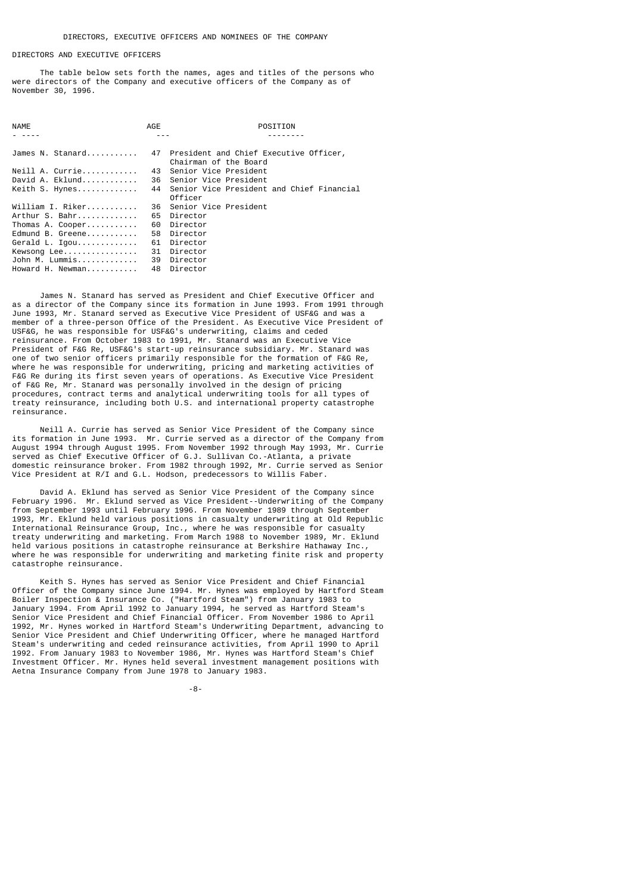## DIRECTORS AND EXECUTIVE OFFICERS

 The table below sets forth the names, ages and titles of the persons who were directors of the Company and executive officers of the Company as of November 30, 1996.

| <b>NAME</b>      | AGE | POSITION                                                           |
|------------------|-----|--------------------------------------------------------------------|
|                  |     |                                                                    |
| James N. Stanard |     | 47 President and Chief Executive Officer,<br>Chairman of the Board |
| Neill A. Currie  | 43  | Senior Vice President                                              |
| David A. Eklund  |     | 36 Senior Vice President                                           |
| Keith S. Hynes   | 44  | Senior Vice President and Chief Financial<br>Officer               |
| William I. Riker | 36  | Senior Vice President                                              |
| Arthur S. Bahr   | 65  | Director                                                           |
| Thomas A. Cooper | 60  | Director                                                           |
| Edmund B. Greene | 58  | Director                                                           |
| Gerald L. Igou   | 61  | Director                                                           |
| Kewsong Lee      | 31  | Director                                                           |
| John M. Lummis   | 39  | Director                                                           |
| Howard H. Newman | 48  | Director                                                           |
|                  |     |                                                                    |

 James N. Stanard has served as President and Chief Executive Officer and as a director of the Company since its formation in June 1993. From 1991 through June 1993, Mr. Stanard served as Executive Vice President of USF&G and was a member of a three-person Office of the President. As Executive Vice President of USF&G, he was responsible for USF&G's underwriting, claims and ceded reinsurance. From October 1983 to 1991, Mr. Stanard was an Executive Vice President of F&G Re, USF&G's start-up reinsurance subsidiary. Mr. Stanard was one of two senior officers primarily responsible for the formation of F&G Re, where he was responsible for underwriting, pricing and marketing activities of F&G Re during its first seven years of operations. As Executive Vice President of F&G Re, Mr. Stanard was personally involved in the design of pricing procedures, contract terms and analytical underwriting tools for all types of treaty reinsurance, including both U.S. and international property catastrophe reinsurance.

 Neill A. Currie has served as Senior Vice President of the Company since its formation in June 1993. Mr. Currie served as a director of the Company from August 1994 through August 1995. From November 1992 through May 1993, Mr. Currie served as Chief Executive Officer of G.J. Sullivan Co.-Atlanta, a private domestic reinsurance broker. From 1982 through 1992, Mr. Currie served as Senior Vice President at R/I and G.L. Hodson, predecessors to Willis Faber.

 David A. Eklund has served as Senior Vice President of the Company since February 1996. Mr. Eklund served as Vice President--Underwriting of the Company from September 1993 until February 1996. From November 1989 through September 1993, Mr. Eklund held various positions in casualty underwriting at Old Republic International Reinsurance Group, Inc., where he was responsible for casualty treaty underwriting and marketing. From March 1988 to November 1989, Mr. Eklund held various positions in catastrophe reinsurance at Berkshire Hathaway Inc., where he was responsible for underwriting and marketing finite risk and property catastrophe reinsurance.

 Keith S. Hynes has served as Senior Vice President and Chief Financial Officer of the Company since June 1994. Mr. Hynes was employed by Hartford Steam Boiler Inspection & Insurance Co. ("Hartford Steam") from January 1983 to January 1994. From April 1992 to January 1994, he served as Hartford Steam's Senior Vice President and Chief Financial Officer. From November 1986 to April 1992, Mr. Hynes worked in Hartford Steam's Underwriting Department, advancing to Senior Vice President and Chief Underwriting Officer, where he managed Hartford Steam's underwriting and ceded reinsurance activities, from April 1990 to April 1992. From January 1983 to November 1986, Mr. Hynes was Hartford Steam's Chief Investment Officer. Mr. Hynes held several investment management positions with Aetna Insurance Company from June 1978 to January 1983.

-8-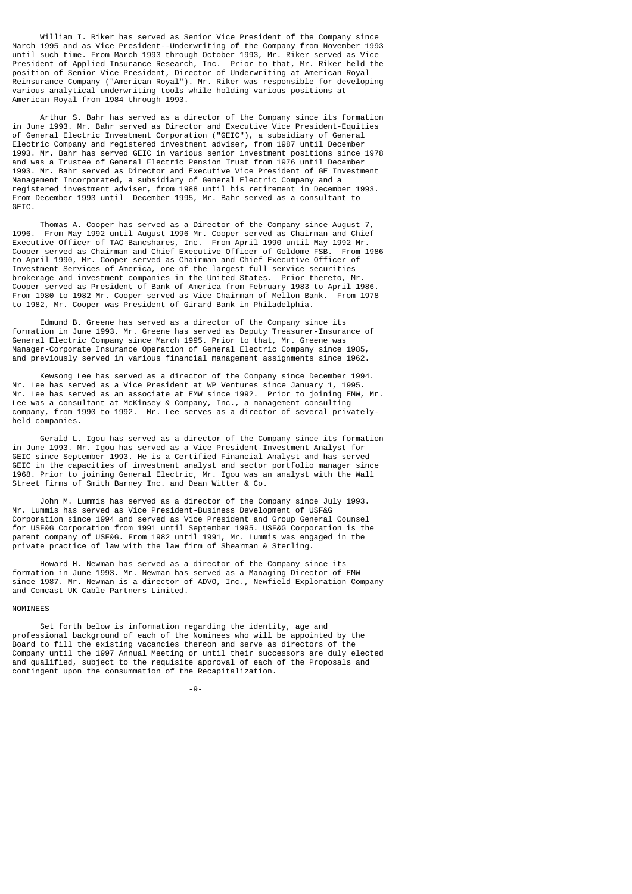William I. Riker has served as Senior Vice President of the Company since March 1995 and as Vice President--Underwriting of the Company from November 1993 until such time. From March 1993 through October 1993, Mr. Riker served as Vice President of Applied Insurance Research, Inc. Prior to that, Mr. Riker held the position of Senior Vice President, Director of Underwriting at American Royal Reinsurance Company ("American Royal"). Mr. Riker was responsible for developing various analytical underwriting tools while holding various positions at American Royal from 1984 through 1993.

 Arthur S. Bahr has served as a director of the Company since its formation in June 1993. Mr. Bahr served as Director and Executive Vice President-Equities of General Electric Investment Corporation ("GEIC"), a subsidiary of General Electric Company and registered investment adviser, from 1987 until December 1993. Mr. Bahr has served GEIC in various senior investment positions since 1978 and was a Trustee of General Electric Pension Trust from 1976 until December 1993. Mr. Bahr served as Director and Executive Vice President of GE Investment Management Incorporated, a subsidiary of General Electric Company and a registered investment adviser, from 1988 until his retirement in December 1993. From December 1993 until December 1995, Mr. Bahr served as a consultant to GEIC.

 Thomas A. Cooper has served as a Director of the Company since August 7, 1996. From May 1992 until August 1996 Mr. Cooper served as Chairman and Chief Executive Officer of TAC Bancshares, Inc. From April 1990 until May 1992 Mr. Cooper served as Chairman and Chief Executive Officer of Goldome FSB. From 1986 to April 1990, Mr. Cooper served as Chairman and Chief Executive Officer of Investment Services of America, one of the largest full service securities brokerage and investment companies in the United States. Prior thereto, Mr. Cooper served as President of Bank of America from February 1983 to April 1986. From 1980 to 1982 Mr. Cooper served as Vice Chairman of Mellon Bank. From 1978 to 1982, Mr. Cooper was President of Girard Bank in Philadelphia.

 Edmund B. Greene has served as a director of the Company since its formation in June 1993. Mr. Greene has served as Deputy Treasurer-Insurance of General Electric Company since March 1995. Prior to that, Mr. Greene was Manager-Corporate Insurance Operation of General Electric Company since 1985, and previously served in various financial management assignments since 1962.

 Kewsong Lee has served as a director of the Company since December 1994. Mr. Lee has served as a Vice President at WP Ventures since January 1, 1995. Mr. Lee has served as an associate at EMW since 1992. Prior to joining EMW, Mr. Lee was a consultant at McKinsey & Company, Inc., a management consulting company, from 1990 to 1992. Mr. Lee serves as a director of several privatelyheld companies.

 Gerald L. Igou has served as a director of the Company since its formation in June 1993. Mr. Igou has served as a Vice President-Investment Analyst for GEIC since September 1993. He is a Certified Financial Analyst and has served GEIC in the capacities of investment analyst and sector portfolio manager since 1968. Prior to joining General Electric, Mr. Igou was an analyst with the Wall Street firms of Smith Barney Inc. and Dean Witter & Co.

 John M. Lummis has served as a director of the Company since July 1993. Mr. Lummis has served as Vice President-Business Development of USF&G Corporation since 1994 and served as Vice President and Group General Counsel for USF&G Corporation from 1991 until September 1995. USF&G Corporation is the parent company of USF&G. From 1982 until 1991, Mr. Lummis was engaged in the private practice of law with the law firm of Shearman & Sterling.

 Howard H. Newman has served as a director of the Company since its formation in June 1993. Mr. Newman has served as a Managing Director of EMW since 1987. Mr. Newman is a director of ADVO, Inc., Newfield Exploration Company and Comcast UK Cable Partners Limited.

## NOMINEES

 Set forth below is information regarding the identity, age and professional background of each of the Nominees who will be appointed by the Board to fill the existing vacancies thereon and serve as directors of the Company until the 1997 Annual Meeting or until their successors are duly elected and qualified, subject to the requisite approval of each of the Proposals and contingent upon the consummation of the Recapitalization.

-9-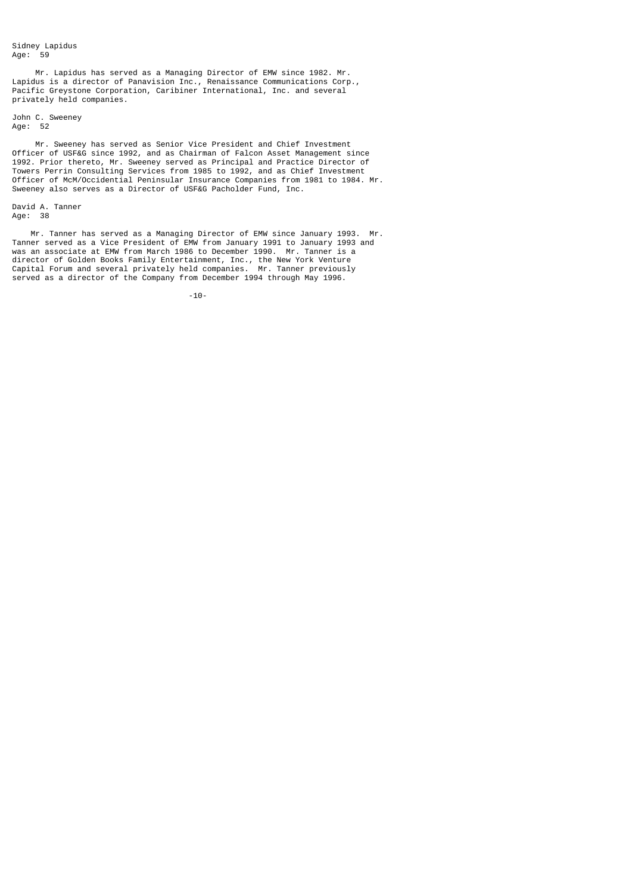Mr. Lapidus has served as a Managing Director of EMW since 1982. Mr. Lapidus is a director of Panavision Inc., Renaissance Communications Corp., Pacific Greystone Corporation, Caribiner International, Inc. and several privately held companies.

John C. Sweeney Age: 52

 Mr. Sweeney has served as Senior Vice President and Chief Investment Officer of USF&G since 1992, and as Chairman of Falcon Asset Management since 1992. Prior thereto, Mr. Sweeney served as Principal and Practice Director of Towers Perrin Consulting Services from 1985 to 1992, and as Chief Investment Officer of McM/Occidential Peninsular Insurance Companies from 1981 to 1984. Mr. Sweeney also serves as a Director of USF&G Pacholder Fund, Inc.

David A. Tanner Age: 38

 Mr. Tanner has served as a Managing Director of EMW since January 1993. Mr. Tanner served as a Vice President of EMW from January 1991 to January 1993 and was an associate at EMW from March 1986 to December 1990. Mr. Tanner is a director of Golden Books Family Entertainment, Inc., the New York Venture Capital Forum and several privately held companies. Mr. Tanner previously served as a director of the Company from December 1994 through May 1996.

-10-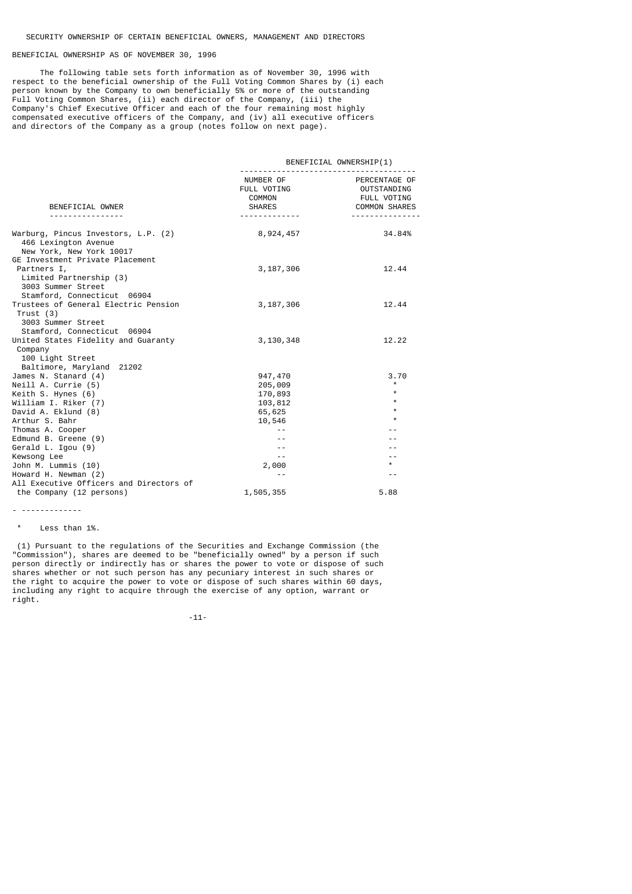# BENEFICIAL OWNERSHIP AS OF NOVEMBER 30, 1996

 The following table sets forth information as of November 30, 1996 with respect to the beneficial ownership of the Full Voting Common Shares by (i) each person known by the Company to own beneficially 5% or more of the outstanding Full Voting Common Shares, (ii) each director of the Company, (iii) the Company's Chief Executive Officer and each of the four remaining most highly compensated executive officers of the Company, and (iv) all executive officers and directors of the Company as a group (notes follow on next page).

|                                                             | BENEFICIAL OWNERSHIP(1)                                               |                                                                                                  |  |  |
|-------------------------------------------------------------|-----------------------------------------------------------------------|--------------------------------------------------------------------------------------------------|--|--|
| BENEFICIAL OWNER<br>.                                       | NUMBER OF<br>FULL VOTING<br>COMMON<br><b>SHARES</b><br>. <sub>.</sub> | PERCENTAGE OF<br>OUTSTANDING<br>FULL VOTING<br><b>COMMON SHARES</b><br>- - - - - - - - - - - - - |  |  |
|                                                             |                                                                       |                                                                                                  |  |  |
| Warburg, Pincus Investors, L.P. (2)<br>466 Lexington Avenue | 8,924,457                                                             | 34.84%                                                                                           |  |  |
| New York, New York 10017                                    |                                                                       |                                                                                                  |  |  |
| GE Investment Private Placement                             |                                                                       |                                                                                                  |  |  |
| Partners I,                                                 | 3, 187, 306                                                           | 12.44                                                                                            |  |  |
| Limited Partnership (3)                                     |                                                                       |                                                                                                  |  |  |
| 3003 Summer Street                                          |                                                                       |                                                                                                  |  |  |
| Stamford, Connecticut 06904                                 |                                                                       |                                                                                                  |  |  |
| Trustees of General Electric Pension<br>Trust (3)           | 3, 187, 306                                                           | 12.44                                                                                            |  |  |
| 3003 Summer Street                                          |                                                                       |                                                                                                  |  |  |
| Stamford, Connecticut 06904                                 |                                                                       |                                                                                                  |  |  |
| United States Fidelity and Guaranty                         | 3,130,348                                                             | 12.22                                                                                            |  |  |
| Company                                                     |                                                                       |                                                                                                  |  |  |
| 100 Light Street                                            |                                                                       |                                                                                                  |  |  |
| Baltimore, Maryland 21202                                   |                                                                       |                                                                                                  |  |  |
| James N. Stanard (4)                                        | 947,470                                                               | 3.70<br>$\star$                                                                                  |  |  |
| Neill A. Currie (5)<br>Keith S. Hynes (6)                   | 205,009<br>170,893                                                    | $\star$                                                                                          |  |  |
| William I. Riker (7)                                        | 103,812                                                               | $\star$                                                                                          |  |  |
| David A. Eklund (8)                                         | 65,625                                                                | $\star$                                                                                          |  |  |
| Arthur S. Bahr                                              | 10,546                                                                | $\star$                                                                                          |  |  |
| Thomas A. Cooper                                            |                                                                       |                                                                                                  |  |  |
| Edmund B. Greene (9)                                        |                                                                       |                                                                                                  |  |  |
| Gerald L. Igou (9)                                          | $ -$                                                                  | - -                                                                                              |  |  |
| Kewsong Lee<br>John M. Lummis (10)                          | $- -$                                                                 | - -<br>$\star$                                                                                   |  |  |
| Howard H. Newman (2)                                        | 2,000<br>$ -$                                                         | $- -$                                                                                            |  |  |
| All Executive Officers and Directors of                     |                                                                       |                                                                                                  |  |  |
| the Company (12 persons)                                    | 1,505,355                                                             | 5.88                                                                                             |  |  |
|                                                             |                                                                       |                                                                                                  |  |  |

<sup>- -------------</sup>

\* Less than 1%.

 (1) Pursuant to the regulations of the Securities and Exchange Commission (the "Commission"), shares are deemed to be "beneficially owned" by a person if such person directly or indirectly has or shares the power to vote or dispose of such shares whether or not such person has any pecuniary interest in such shares or the right to acquire the power to vote or dispose of such shares within 60 days, including any right to acquire through the exercise of any option, warrant or right.

-11-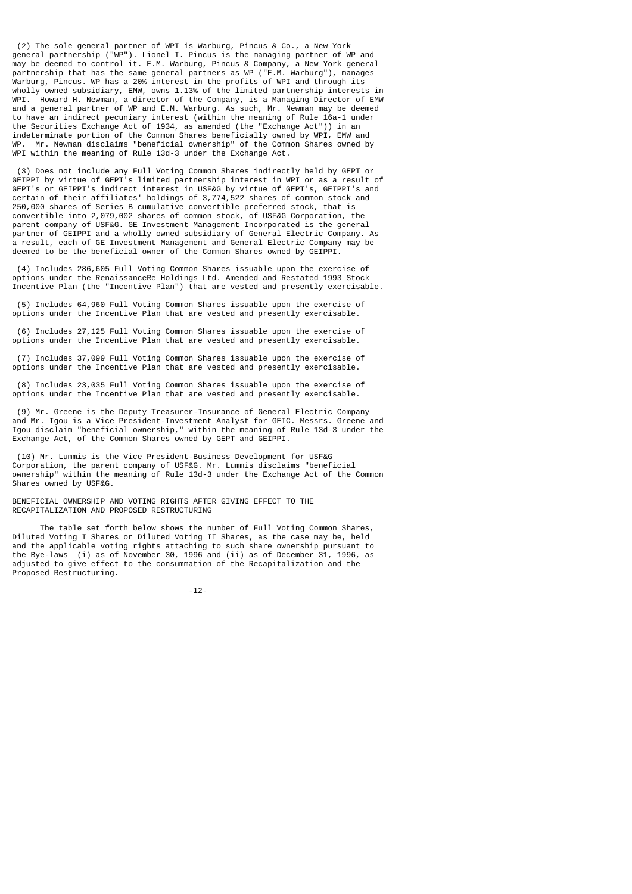(2) The sole general partner of WPI is Warburg, Pincus & Co., a New York general partnership ("WP"). Lionel I. Pincus is the managing partner of WP and may be deemed to control it. E.M. Warburg, Pincus & Company, a New York general partnership that has the same general partners as WP ("E.M. Warburg"), manages Warburg, Pincus. WP has a 20% interest in the profits of WPI and through its wholly owned subsidiary, EMW, owns 1.13% of the limited partnership interests in WPI. Howard H. Newman, a director of the Company, is a Managing Director of EMW and a general partner of WP and E.M. Warburg. As such, Mr. Newman may be deemed to have an indirect pecuniary interest (within the meaning of Rule 16a-1 under the Securities Exchange Act of 1934, as amended (the "Exchange Act")) in an indeterminate portion of the Common Shares beneficially owned by WPI, EMW and WP. Mr. Newman disclaims "beneficial ownership" of the Common Shares owned by WPI within the meaning of Rule 13d-3 under the Exchange Act.

 (3) Does not include any Full Voting Common Shares indirectly held by GEPT or GEIPPI by virtue of GEPT's limited partnership interest in WPI or as a result of GEPT's or GEIPPI's indirect interest in USF&G by virtue of GEPT's, GEIPPI's and certain of their affiliates' holdings of 3,774,522 shares of common stock and 250,000 shares of Series B cumulative convertible preferred stock, that is convertible into 2,079,002 shares of common stock, of USF&G Corporation, the parent company of USF&G. GE Investment Management Incorporated is the general partner of GEIPPI and a wholly owned subsidiary of General Electric Company. As a result, each of GE Investment Management and General Electric Company may be deemed to be the beneficial owner of the Common Shares owned by GEIPPI.

 (4) Includes 286,605 Full Voting Common Shares issuable upon the exercise of options under the RenaissanceRe Holdings Ltd. Amended and Restated 1993 Stock Incentive Plan (the "Incentive Plan") that are vested and presently exercisable.

 (5) Includes 64,960 Full Voting Common Shares issuable upon the exercise of options under the Incentive Plan that are vested and presently exercisable.

 (6) Includes 27,125 Full Voting Common Shares issuable upon the exercise of options under the Incentive Plan that are vested and presently exercisable.

 (7) Includes 37,099 Full Voting Common Shares issuable upon the exercise of options under the Incentive Plan that are vested and presently exercisable.

 (8) Includes 23,035 Full Voting Common Shares issuable upon the exercise of options under the Incentive Plan that are vested and presently exercisable.

 (9) Mr. Greene is the Deputy Treasurer-Insurance of General Electric Company and Mr. Igou is a Vice President-Investment Analyst for GEIC. Messrs. Greene and Igou disclaim "beneficial ownership," within the meaning of Rule 13d-3 under the Exchange Act, of the Common Shares owned by GEPT and GEIPPI.

 (10) Mr. Lummis is the Vice President-Business Development for USF&G Corporation, the parent company of USF&G. Mr. Lummis disclaims "beneficial ownership" within the meaning of Rule 13d-3 under the Exchange Act of the Common Shares owned by USF&G.

BENEFICIAL OWNERSHIP AND VOTING RIGHTS AFTER GIVING EFFECT TO THE RECAPITALIZATION AND PROPOSED RESTRUCTURING

 The table set forth below shows the number of Full Voting Common Shares, Diluted Voting I Shares or Diluted Voting II Shares, as the case may be, held and the applicable voting rights attaching to such share ownership pursuant to the Bye-laws (i) as of November 30, 1996 and (ii) as of December 31, 1996, as adjusted to give effect to the consummation of the Recapitalization and the Proposed Restructuring.

-12-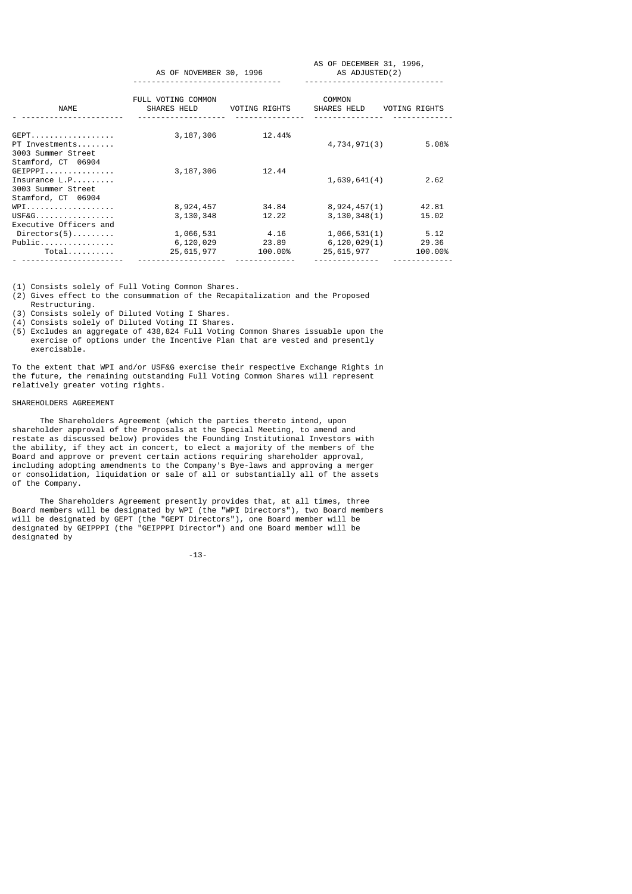|                                                                                      | AS OF NOVEMBER 30, 1996           |                 | AS OF DECEMBER 31, 1996,<br>AS ADJUSTED(2) |         |
|--------------------------------------------------------------------------------------|-----------------------------------|-----------------|--------------------------------------------|---------|
| NAME                                                                                 | FULL VOTING COMMON<br>SHARES HELD | VOTING RIGHTS   | COMMON<br>SHARES HELD VOTING RIGHTS        |         |
| GEPT.<br>PT Investments<br>3003 Summer Street<br>Stamford, CT 06904                  | 3,187,306                         | 12.44%          | 4,734,971(3)                               | 5.08%   |
| GEIPPI<br>Insurance $L.P. \ldots \ldots$<br>3003 Summer Street<br>Stamford, CT 06904 | 3,187,306                         | 12.44           | 1,639,641(4)                               | 2.62    |
| $WPI$                                                                                | 8,924,457                         | 34.84           | 8,924,457(1)                               | 42.81   |
| USF&G<br>Executive Officers and                                                      | 3,130,348                         | 12.22           | 3,130,348(1)                               | 15.02   |
| $Directions(5) \dots \dots \dots$                                                    | 1,066,531                         | 4.16            | 1,066,531(1)                               | 5.12    |
| Public                                                                               |                                   | 6,120,029 23.89 | 6, 120, 029(1)                             | 29.36   |
| Total                                                                                | 25,615,977                        | 100.00%         | 25,615,977                                 | 100.00% |

- ---------------------- ------------------- ------------- -------------- -------------

(1) Consists solely of Full Voting Common Shares.

(2) Gives effect to the consummation of the Recapitalization and the Proposed Restructuring.

(3) Consists solely of Diluted Voting I Shares.

(4) Consists solely of Diluted Voting II Shares.

(5) Excludes an aggregate of 438,824 Full Voting Common Shares issuable upon the exercise of options under the Incentive Plan that are vested and presently exercisable.

To the extent that WPI and/or USF&G exercise their respective Exchange Rights in the future, the remaining outstanding Full Voting Common Shares will represent relatively greater voting rights.

## SHAREHOLDERS AGREEMENT

 The Shareholders Agreement (which the parties thereto intend, upon shareholder approval of the Proposals at the Special Meeting, to amend and restate as discussed below) provides the Founding Institutional Investors with the ability, if they act in concert, to elect a majority of the members of the Board and approve or prevent certain actions requiring shareholder approval, including adopting amendments to the Company's Bye-laws and approving a merger or consolidation, liquidation or sale of all or substantially all of the assets of the Company.

 The Shareholders Agreement presently provides that, at all times, three Board members will be designated by WPI (the "WPI Directors"), two Board members will be designated by GEPT (the "GEPT Directors"), one Board member will be designated by GEIPPPI (the "GEIPPPI Director") and one Board member will be designated by

-13-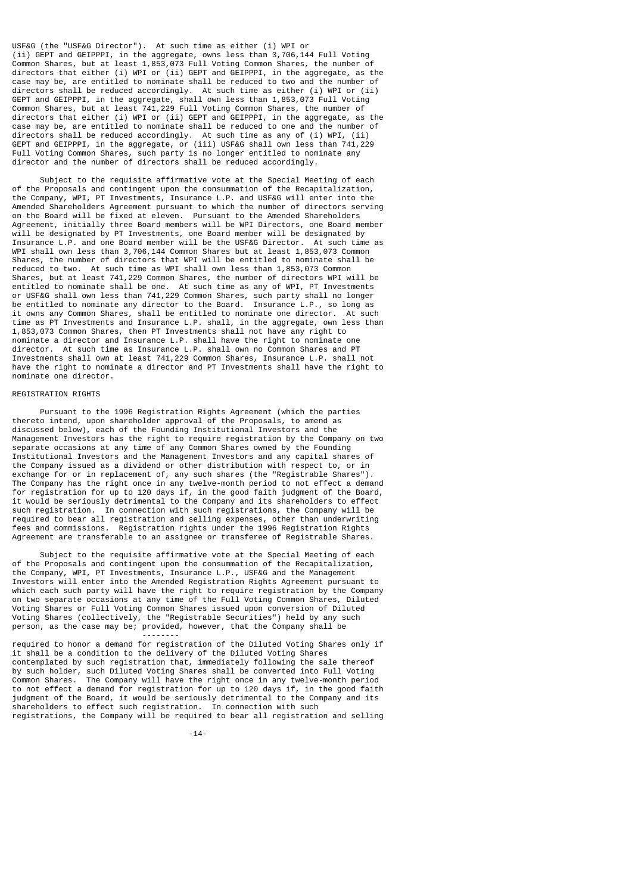USF&G (the "USF&G Director"). At such time as either (i) WPI or (ii) GEPT and GEIPPPI, in the aggregate, owns less than 3,706,144 Full Voting Common Shares, but at least 1,853,073 Full Voting Common Shares, the number of directors that either (i) WPI or (ii) GEPT and GEIPPPI, in the aggregate, as the case may be, are entitled to nominate shall be reduced to two and the number of directors shall be reduced accordingly. At such time as either (i) WPI or (ii) GEPT and GEIPPPI, in the aggregate, shall own less than 1,853,073 Full Voting Common Shares, but at least 741,229 Full Voting Common Shares, the number of directors that either (i) WPI or (ii) GEPT and GEIPPPI, in the aggregate, as the case may be, are entitled to nominate shall be reduced to one and the number of directors shall be reduced accordingly. At such time as any of (i) WPI, (ii) GEPT and GEIPPPI, in the aggregate, or (iii) USF&G shall own less than 741,229 Full Voting Common Shares, such party is no longer entitled to nominate any director and the number of directors shall be reduced accordingly.

 Subject to the requisite affirmative vote at the Special Meeting of each of the Proposals and contingent upon the consummation of the Recapitalization, the Company, WPI, PT Investments, Insurance L.P. and USF&G will enter into the Amended Shareholders Agreement pursuant to which the number of directors serving on the Board will be fixed at eleven. Pursuant to the Amended Shareholders Agreement, initially three Board members will be WPI Directors, one Board member will be designated by PT Investments, one Board member will be designated by Insurance L.P. and one Board member will be the USF&G Director. At such time as WPI shall own less than 3,706,144 Common Shares but at least 1,853,073 Common Shares, the number of directors that WPI will be entitled to nominate shall be reduced to two. At such time as WPI shall own less than 1,853,073 Common Shares, but at least 741,229 Common Shares, the number of directors WPI will be entitled to nominate shall be one. At such time as any of WPI, PT Investments or USF&G shall own less than 741,229 Common Shares, such party shall no longer be entitled to nominate any director to the Board. Insurance L.P., so long as it owns any Common Shares, shall be entitled to nominate one director. At such time as PT Investments and Insurance L.P. shall, in the aggregate, own less than 1,853,073 Common Shares, then PT Investments shall not have any right to nominate a director and Insurance L.P. shall have the right to nominate one director. At such time as Insurance L.P. shall own no Common Shares and PT Investments shall own at least 741,229 Common Shares, Insurance L.P. shall not have the right to nominate a director and PT Investments shall have the right to nominate one director.

## REGISTRATION RIGHTS

--------

 Pursuant to the 1996 Registration Rights Agreement (which the parties thereto intend, upon shareholder approval of the Proposals, to amend as discussed below), each of the Founding Institutional Investors and the Management Investors has the right to require registration by the Company on two separate occasions at any time of any Common Shares owned by the Founding Institutional Investors and the Management Investors and any capital shares of the Company issued as a dividend or other distribution with respect to, or in exchange for or in replacement of, any such shares (the "Registrable Shares"). The Company has the right once in any twelve-month period to not effect a demand for registration for up to 120 days if, in the good faith judgment of the Board, it would be seriously detrimental to the Company and its shareholders to effect such registration. In connection with such registrations, the Company will be required to bear all registration and selling expenses, other than underwriting fees and commissions. Registration rights under the 1996 Registration Rights Agreement are transferable to an assignee or transferee of Registrable Shares.

 Subject to the requisite affirmative vote at the Special Meeting of each of the Proposals and contingent upon the consummation of the Recapitalization, the Company, WPI, PT Investments, Insurance L.P., USF&G and the Management Investors will enter into the Amended Registration Rights Agreement pursuant to which each such party will have the right to require registration by the Company on two separate occasions at any time of the Full Voting Common Shares, Diluted Voting Shares or Full Voting Common Shares issued upon conversion of Diluted Voting Shares (collectively, the "Registrable Securities") held by any such person, as the case may be; provided, however, that the Company shall be

required to honor a demand for registration of the Diluted Voting Shares only if it shall be a condition to the delivery of the Diluted Voting Shares contemplated by such registration that, immediately following the sale thereof by such holder, such Diluted Voting Shares shall be converted into Full Voting Common Shares. The Company will have the right once in any twelve-month period to not effect a demand for registration for up to 120 days if, in the good faith judgment of the Board, it would be seriously detrimental to the Company and its shareholders to effect such registration. In connection with such registrations, the Company will be required to bear all registration and selling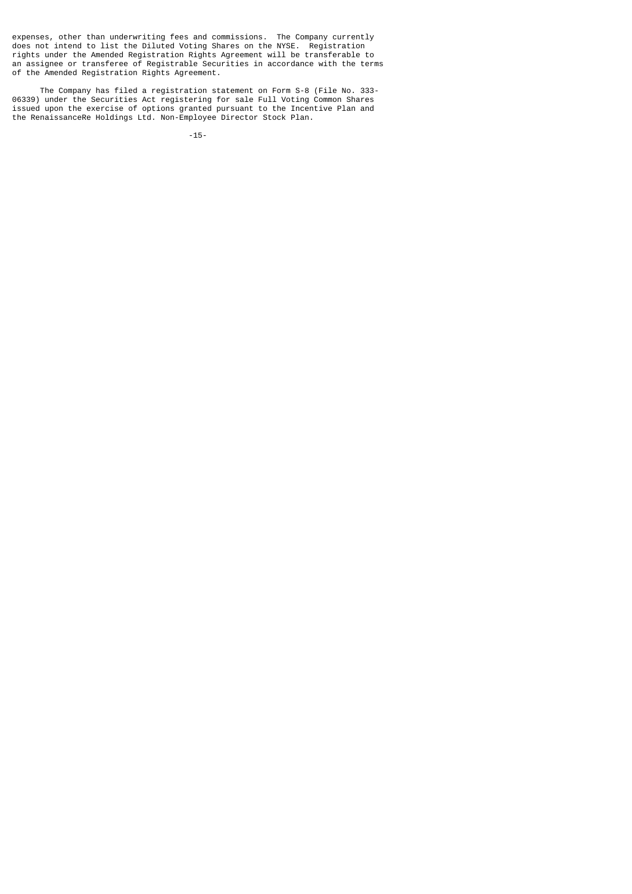expenses, other than underwriting fees and commissions. The Company currently does not intend to list the Diluted Voting Shares on the NYSE. Registration rights under the Amended Registration Rights Agreement will be transferable to an assignee or transferee of Registrable Securities in accordance with the terms of the Amended Registration Rights Agreement.

 The Company has filed a registration statement on Form S-8 (File No. 333- 06339) under the Securities Act registering for sale Full Voting Common Shares issued upon the exercise of options granted pursuant to the Incentive Plan and the RenaissanceRe Holdings Ltd. Non-Employee Director Stock Plan.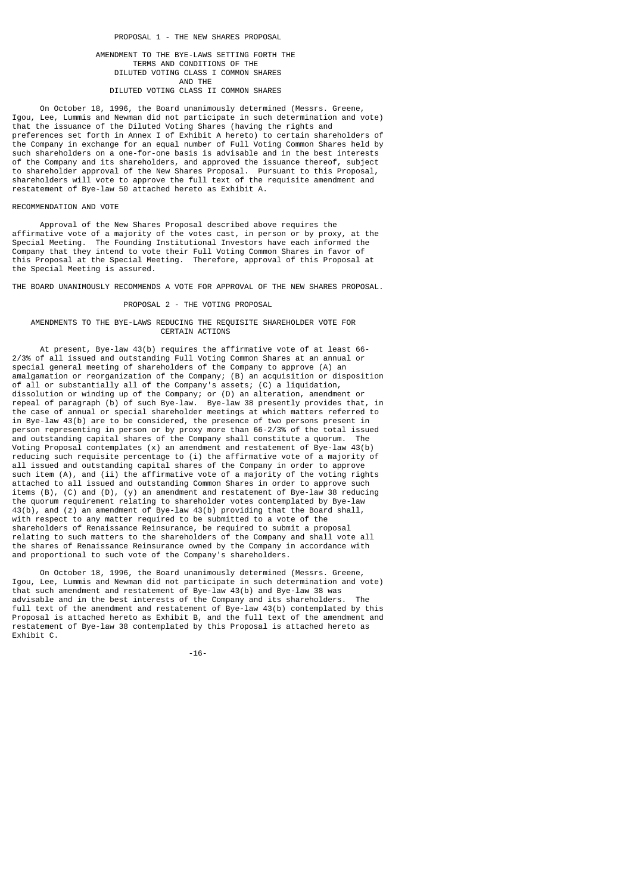## AMENDMENT TO THE BYE-LAWS SETTING FORTH THE TERMS AND CONDITIONS OF THE DILUTED VOTING CLASS I COMMON SHARES AND THE DILUTED VOTING CLASS II COMMON SHARES

 On October 18, 1996, the Board unanimously determined (Messrs. Greene, Igou, Lee, Lummis and Newman did not participate in such determination and vote) that the issuance of the Diluted Voting Shares (having the rights and preferences set forth in Annex I of Exhibit A hereto) to certain shareholders of the Company in exchange for an equal number of Full Voting Common Shares held by such shareholders on a one-for-one basis is advisable and in the best interests of the Company and its shareholders, and approved the issuance thereof, subject to shareholder approval of the New Shares Proposal. Pursuant to this Proposal, shareholders will vote to approve the full text of the requisite amendment and restatement of Bye-law 50 attached hereto as Exhibit A.

### RECOMMENDATION AND VOTE

 Approval of the New Shares Proposal described above requires the affirmative vote of a majority of the votes cast, in person or by proxy, at the Special Meeting. The Founding Institutional Investors have each informed the Company that they intend to vote their Full Voting Common Shares in favor of this Proposal at the Special Meeting. Therefore, approval of this Proposal at the Special Meeting is assured.

THE BOARD UNANIMOUSLY RECOMMENDS A VOTE FOR APPROVAL OF THE NEW SHARES PROPOSAL.

### PROPOSAL 2 - THE VOTING PROPOSAL

### AMENDMENTS TO THE BYE-LAWS REDUCING THE REQUISITE SHAREHOLDER VOTE FOR CERTAIN ACTIONS

 At present, Bye-law 43(b) requires the affirmative vote of at least 66- 2/3% of all issued and outstanding Full Voting Common Shares at an annual or special general meeting of shareholders of the Company to approve (A) an amalgamation or reorganization of the Company; (B) an acquisition or disposition of all or substantially all of the Company's assets; (C) a liquidation, dissolution or winding up of the Company; or (D) an alteration, amendment or repeal of paragraph (b) of such Bye-law. Bye-law 38 presently provides that, in the case of annual or special shareholder meetings at which matters referred to in Bye-law 43(b) are to be considered, the presence of two persons present in person representing in person or by proxy more than 66-2/3% of the total issued and outstanding capital shares of the Company shall constitute a quorum. The Voting Proposal contemplates (x) an amendment and restatement of Bye-law 43(b) reducing such requisite percentage to (i) the affirmative vote of a majority of all issued and outstanding capital shares of the Company in order to approve such item (A), and (ii) the affirmative vote of a majority of the voting rights attached to all issued and outstanding Common Shares in order to approve such items (B), (C) and (D), (y) an amendment and restatement of Bye-law 38 reducing the quorum requirement relating to shareholder votes contemplated by Bye-law 43(b), and (z) an amendment of Bye-law 43(b) providing that the Board shall, with respect to any matter required to be submitted to a vote of the shareholders of Renaissance Reinsurance, be required to submit a proposal relating to such matters to the shareholders of the Company and shall vote all the shares of Renaissance Reinsurance owned by the Company in accordance with and proportional to such vote of the Company's shareholders.

 On October 18, 1996, the Board unanimously determined (Messrs. Greene, Igou, Lee, Lummis and Newman did not participate in such determination and vote) that such amendment and restatement of Bye-law 43(b) and Bye-law 38 was advisable and in the best interests of the Company and its shareholders. full text of the amendment and restatement of Bye-law 43(b) contemplated by this Proposal is attached hereto as Exhibit B, and the full text of the amendment and restatement of Bye-law 38 contemplated by this Proposal is attached hereto as Exhibit C.

-16-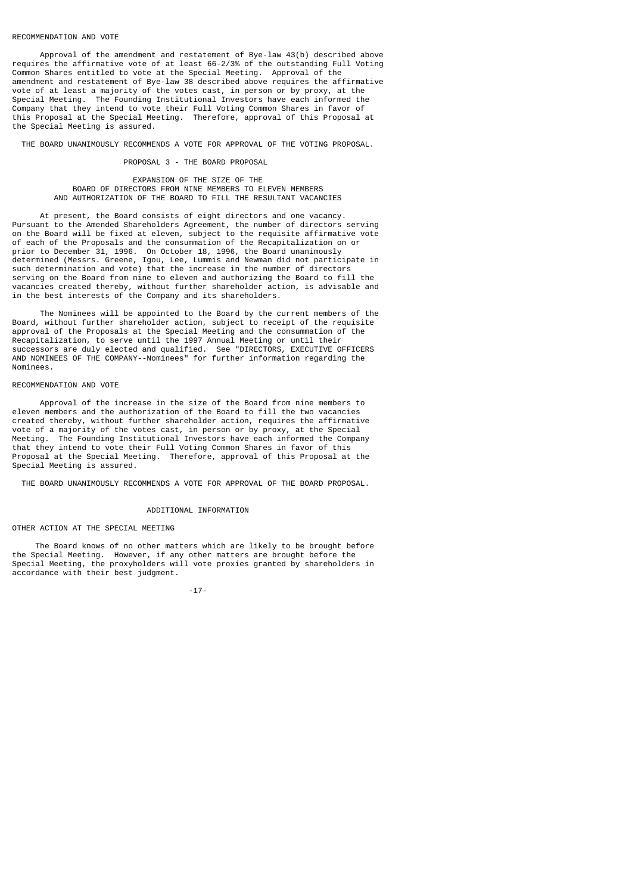#### RECOMMENDATION AND VOTE

 Approval of the amendment and restatement of Bye-law 43(b) described above requires the affirmative vote of at least 66-2/3% of the outstanding Full Voting Common Shares entitled to vote at the Special Meeting. Approval of the amendment and restatement of Bye-law 38 described above requires the affirmative vote of at least a majority of the votes cast, in person or by proxy, at the Special Meeting. The Founding Institutional Investors have each informed the Company that they intend to vote their Full Voting Common Shares in favor of this Proposal at the Special Meeting. Therefore, approval of this Proposal at the Special Meeting is assured.

THE BOARD UNANIMOUSLY RECOMMENDS A VOTE FOR APPROVAL OF THE VOTING PROPOSAL.

#### PROPOSAL 3 - THE BOARD PROPOSAL

## EXPANSION OF THE SIZE OF THE BOARD OF DIRECTORS FROM NINE MEMBERS TO ELEVEN MEMBERS AND AUTHORIZATION OF THE BOARD TO FILL THE RESULTANT VACANCIES

 At present, the Board consists of eight directors and one vacancy. Pursuant to the Amended Shareholders Agreement, the number of directors serving on the Board will be fixed at eleven, subject to the requisite affirmative vote of each of the Proposals and the consummation of the Recapitalization on or prior to December 31, 1996. On October 18, 1996, the Board unanimously determined (Messrs. Greene, Igou, Lee, Lummis and Newman did not participate in such determination and vote) that the increase in the number of directors serving on the Board from nine to eleven and authorizing the Board to fill the vacancies created thereby, without further shareholder action, is advisable and in the best interests of the Company and its shareholders.

 The Nominees will be appointed to the Board by the current members of the Board, without further shareholder action, subject to receipt of the requisite approval of the Proposals at the Special Meeting and the consummation of the Recapitalization, to serve until the 1997 Annual Meeting or until their successors are duly elected and qualified. See "DIRECTORS, EXECUTIVE OFFICERS AND NOMINEES OF THE COMPANY--Nominees" for further information regarding the Nominees.

### RECOMMENDATION AND VOTE

 Approval of the increase in the size of the Board from nine members to eleven members and the authorization of the Board to fill the two vacancies created thereby, without further shareholder action, requires the affirmative vote of a majority of the votes cast, in person or by proxy, at the Special Meeting. The Founding Institutional Investors have each informed the Company that they intend to vote their Full Voting Common Shares in favor of this Proposal at the Special Meeting. Therefore, approval of this Proposal at the Special Meeting is assured.

THE BOARD UNANIMOUSLY RECOMMENDS A VOTE FOR APPROVAL OF THE BOARD PROPOSAL.

### ADDITIONAL INFORMATION

## OTHER ACTION AT THE SPECIAL MEETING

 The Board knows of no other matters which are likely to be brought before the Special Meeting. However, if any other matters are brought before the Special Meeting, the proxyholders will vote proxies granted by shareholders in accordance with their best judgment.

-17-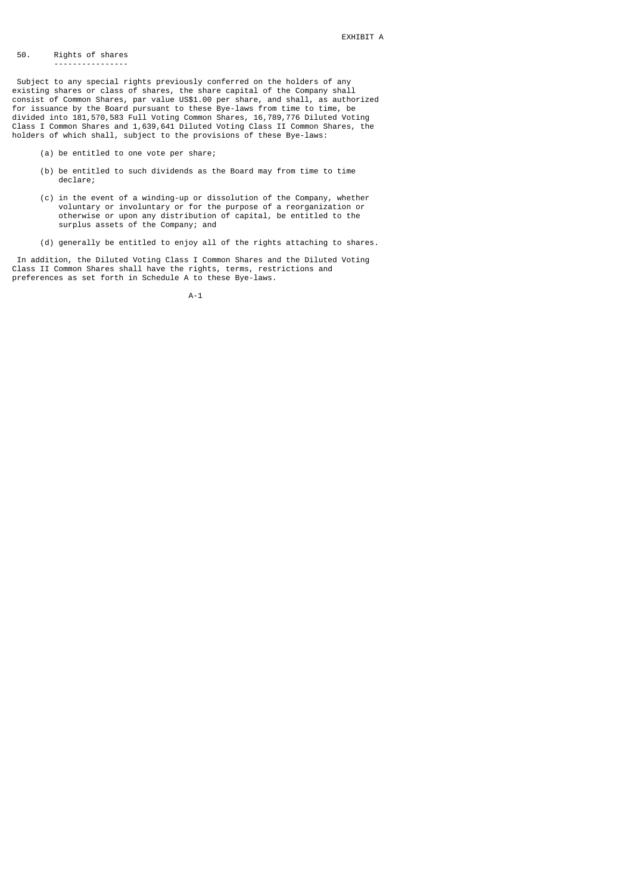#### 50. Rights of shares ----------------

 Subject to any special rights previously conferred on the holders of any existing shares or class of shares, the share capital of the Company shall consist of Common Shares, par value US\$1.00 per share, and shall, as authorized for issuance by the Board pursuant to these Bye-laws from time to time, be divided into 181,570,583 Full Voting Common Shares, 16,789,776 Diluted Voting Class I Common Shares and 1,639,641 Diluted Voting Class II Common Shares, the holders of which shall, subject to the provisions of these Bye-laws:

- (a) be entitled to one vote per share;
- (b) be entitled to such dividends as the Board may from time to time declare;
- (c) in the event of a winding-up or dissolution of the Company, whether voluntary or involuntary or for the purpose of a reorganization or otherwise or upon any distribution of capital, be entitled to the surplus assets of the Company; and
	- (d) generally be entitled to enjoy all of the rights attaching to shares.

 In addition, the Diluted Voting Class I Common Shares and the Diluted Voting Class II Common Shares shall have the rights, terms, restrictions and preferences as set forth in Schedule A to these Bye-laws.

A-1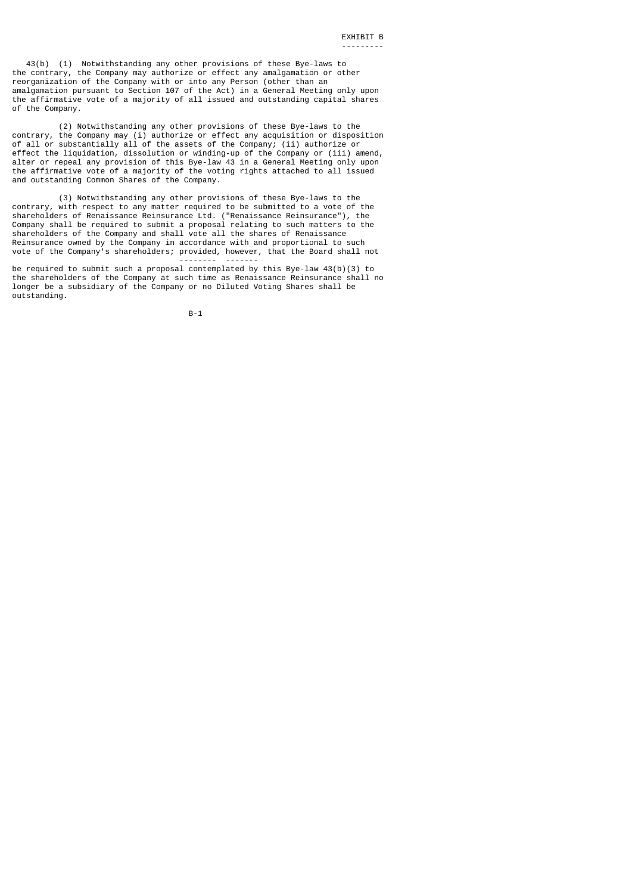43(b) (1) Notwithstanding any other provisions of these Bye-laws to the contrary, the Company may authorize or effect any amalgamation or other reorganization of the Company with or into any Person (other than an amalgamation pursuant to Section 107 of the Act) in a General Meeting only upon the affirmative vote of a majority of all issued and outstanding capital shares of the Company.

 (2) Notwithstanding any other provisions of these Bye-laws to the contrary, the Company may (i) authorize or effect any acquisition or disposition of all or substantially all of the assets of the Company; (ii) authorize or effect the liquidation, dissolution or winding-up of the Company or (iii) amend, alter or repeal any provision of this Bye-law 43 in a General Meeting only upon the affirmative vote of a majority of the voting rights attached to all issued and outstanding Common Shares of the Company.

 (3) Notwithstanding any other provisions of these Bye-laws to the contrary, with respect to any matter required to be submitted to a vote of the shareholders of Renaissance Reinsurance Ltd. ("Renaissance Reinsurance"), the Company shall be required to submit a proposal relating to such matters to the shareholders of the Company and shall vote all the shares of Renaissance Reinsurance owned by the Company in accordance with and proportional to such vote of the Company's shareholders; provided, however, that the Board shall not

 -------- ------ be required to submit such a proposal contemplated by this Bye-law 43(b)(3) to the shareholders of the Company at such time as Renaissance Reinsurance shall no longer be a subsidiary of the Company or no Diluted Voting Shares shall be outstanding.

B-1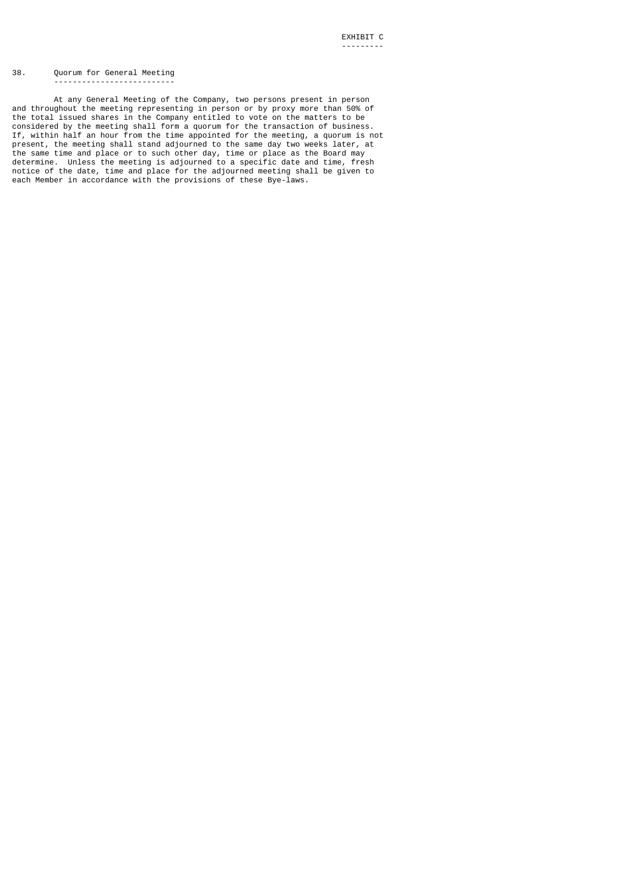#### 38. Quorum for General Meeting --------------------------

 At any General Meeting of the Company, two persons present in person and throughout the meeting representing in person or by proxy more than 50% of the total issued shares in the Company entitled to vote on the matters to be considered by the meeting shall form a quorum for the transaction of business. If, within half an hour from the time appointed for the meeting, a quorum is not present, the meeting shall stand adjourned to the same day two weeks later, at the same time and place or to such other day, time or place as the Board may determine. Unless the meeting is adjourned to a specific date and time, fresh notice of the date, time and place for the adjourned meeting shall be given to each Member in accordance with the provisions of these Bye-laws.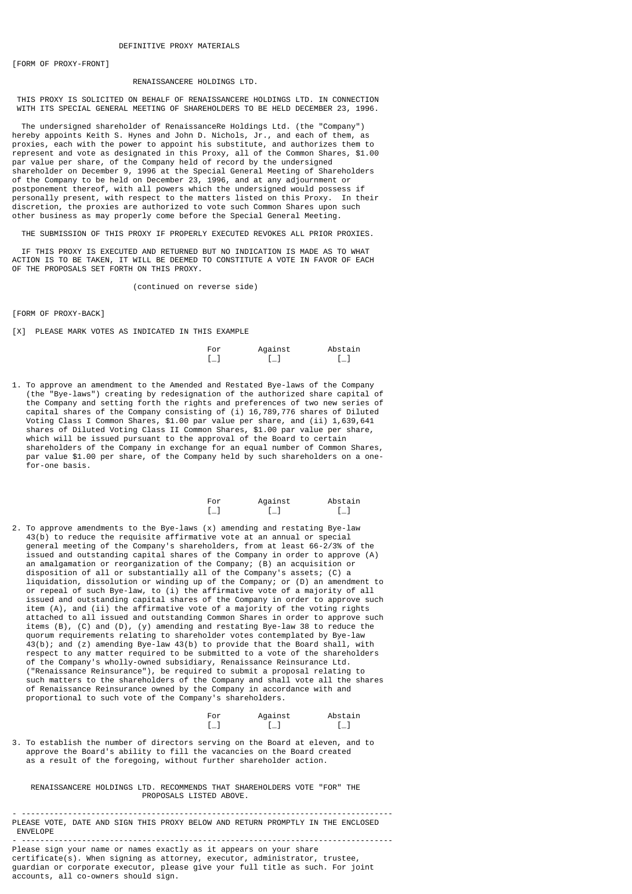[FORM OF PROXY-FRONT]

#### RENAISSANCERE HOLDINGS LTD.

 THIS PROXY IS SOLICITED ON BEHALF OF RENAISSANCERE HOLDINGS LTD. IN CONNECTION WITH ITS SPECIAL GENERAL MEETING OF SHAREHOLDERS TO BE HELD DECEMBER 23, 1996.

 The undersigned shareholder of RenaissanceRe Holdings Ltd. (the "Company") hereby appoints Keith S. Hynes and John D. Nichols, Jr., and each of them, as proxies, each with the power to appoint his substitute, and authorizes them to represent and vote as designated in this Proxy, all of the Common Shares, \$1.00 par value per share, of the Company held of record by the undersigned shareholder on December 9, 1996 at the Special General Meeting of Shareholders of the Company to be held on December 23, 1996, and at any adjournment or postponement thereof, with all powers which the undersigned would possess if personally present, with respect to the matters listed on this Proxy. In their discretion, the proxies are authorized to vote such Common Shares upon such other business as may properly come before the Special General Meeting.

THE SUBMISSION OF THIS PROXY IF PROPERLY EXECUTED REVOKES ALL PRIOR PROXIES.

 IF THIS PROXY IS EXECUTED AND RETURNED BUT NO INDICATION IS MADE AS TO WHAT ACTION IS TO BE TAKEN, IT WILL BE DEEMED TO CONSTITUTE A VOTE IN FAVOR OF EACH OF THE PROPOSALS SET FORTH ON THIS PROXY.

(continued on reverse side)

[FORM OF PROXY-BACK]

[X] PLEASE MARK VOTES AS INDICATED IN THIS EXAMPLE

| For | Against  | Abstain |
|-----|----------|---------|
| -   | $L_{-1}$ | $[-]$   |

1. To approve an amendment to the Amended and Restated Bye-laws of the Company (the "Bye-laws") creating by redesignation of the authorized share capital of the Company and setting forth the rights and preferences of two new series of capital shares of the Company consisting of (i) 16,789,776 shares of Diluted Voting Class I Common Shares, \$1.00 par value per share, and (ii) 1,639,641 shares of Diluted Voting Class II Common Shares, \$1.00 par value per share, which will be issued pursuant to the approval of the Board to certain shareholders of the Company in exchange for an equal number of Common Shares, par value \$1.00 per share, of the Company held by such shareholders on a one for-one basis.

| For    | Against | Abstain |
|--------|---------|---------|
| $\Box$ | — 1     | $[-1]$  |

2. To approve amendments to the Bye-laws (x) amending and restating Bye-law 43(b) to reduce the requisite affirmative vote at an annual or special general meeting of the Company's shareholders, from at least 66-2/3% of the issued and outstanding capital shares of the Company in order to approve (A) an amalgamation or reorganization of the Company; (B) an acquisition or disposition of all or substantially all of the Company's assets; (C) a liquidation, dissolution or winding up of the Company; or (D) an amendment to or repeal of such Bye-law, to (i) the affirmative vote of a majority of all issued and outstanding capital shares of the Company in order to approve such item (A), and (ii) the affirmative vote of a majority of the voting rights attached to all issued and outstanding Common Shares in order to approve such items (B), (C) and (D), (y) amending and restating Bye-law 38 to reduce the quorum requirements relating to shareholder votes contemplated by Bye-law 43(b); and (z) amending Bye-law 43(b) to provide that the Board shall, with respect to any matter required to be submitted to a vote of the shareholders of the Company's wholly-owned subsidiary, Renaissance Reinsurance Ltd. ("Renaissance Reinsurance"), be required to submit a proposal relating to such matters to the shareholders of the Company and shall vote all the shares of Renaissance Reinsurance owned by the Company in accordance with and proportional to such vote of the Company's shareholders.

| For   | Against | Abstain                           |
|-------|---------|-----------------------------------|
| . — 1 | L— J    | $\begin{bmatrix} 1 \end{bmatrix}$ |

3. To establish the number of directors serving on the Board at eleven, and to approve the Board's ability to fill the vacancies on the Board created as a result of the foregoing, without further shareholder action.

 RENAISSANCERE HOLDINGS LTD. RECOMMENDS THAT SHAREHOLDERS VOTE "FOR" THE PROPOSALS LISTED ABOVE.

- -------------------------------------------------------------------------------- PLEASE VOTE, DATE AND SIGN THIS PROXY BELOW AND RETURN PROMPTLY IN THE ENCLOSED ENVELOPE

- -------------------------------------------------------------------------------- Please sign your name or names exactly as it appears on your share certificate(s). When signing as attorney, executor, administrator, trustee, guardian or corporate executor, please give your full title as such. For joint accounts, all co-owners should sign.